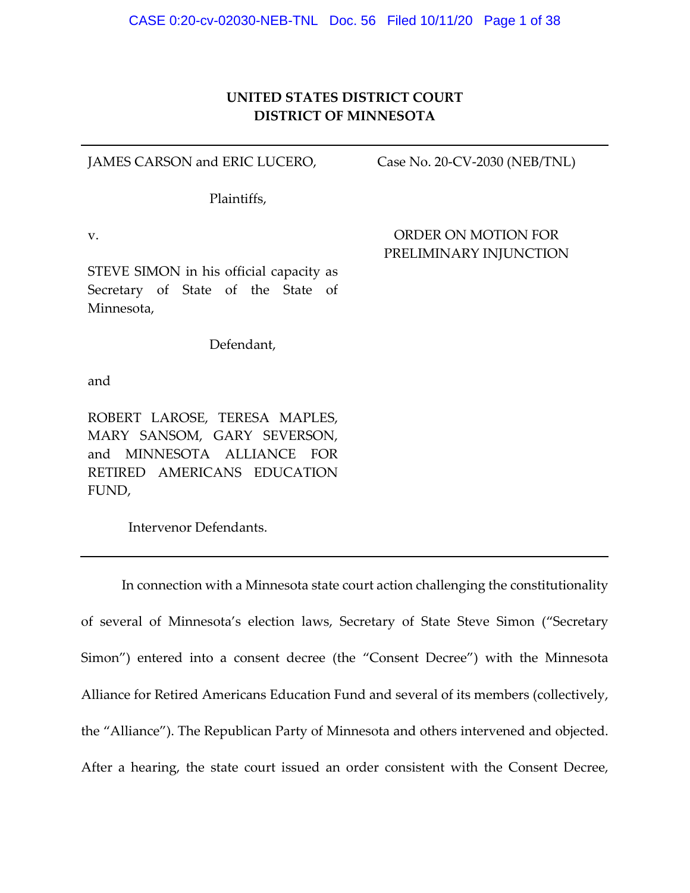### **UNITED STATES DISTRICT COURT DISTRICT OF MINNESOTA**

JAMES CARSON and ERIC LUCERO,

Case No. 20‐CV‐2030 (NEB/TNL)

Plaintiffs,

v.

ORDER ON MOTION FOR PRELIMINARY INJUNCTION

STEVE SIMON in his official capacity as Secretary of State of the State of Minnesota,

Defendant,

and

ROBERT LAROSE, TERESA MAPLES, MARY SANSOM, GARY SEVERSON, and MINNESOTA ALLIANCE FOR RETIRED AMERICANS EDUCATION FUND,

Intervenor Defendants.

In connection with a Minnesota state court action challenging the constitutionality of several of Minnesota's election laws, Secretary of State Steve Simon ("Secretary Simon") entered into a consent decree (the "Consent Decree") with the Minnesota Alliance for Retired Americans Education Fund and several of its members (collectively, the "Alliance"). The Republican Party of Minnesota and others intervened and objected. After a hearing, the state court issued an order consistent with the Consent Decree,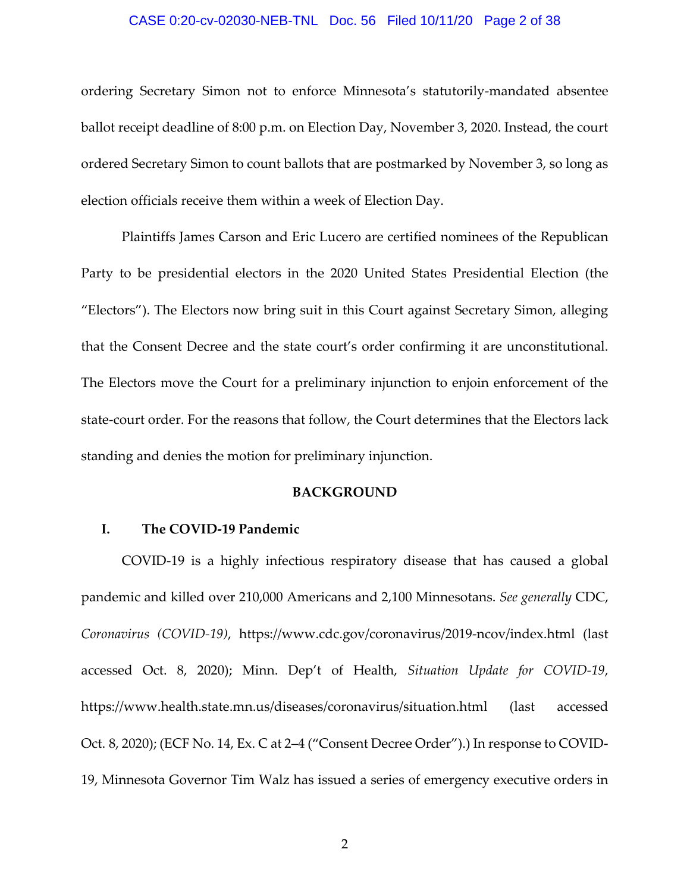#### CASE 0:20-cv-02030-NEB-TNL Doc. 56 Filed 10/11/20 Page 2 of 38

ordering Secretary Simon not to enforce Minnesota's statutorily‐mandated absentee ballot receipt deadline of 8:00 p.m. on Election Day, November 3, 2020. Instead, the court ordered Secretary Simon to count ballots that are postmarked by November 3, so long as election officials receive them within a week of Election Day.

Plaintiffs James Carson and Eric Lucero are certified nominees of the Republican Party to be presidential electors in the 2020 United States Presidential Election (the "Electors"). The Electors now bring suit in this Court against Secretary Simon, alleging that the Consent Decree and the state court's order confirming it are unconstitutional. The Electors move the Court for a preliminary injunction to enjoin enforcement of the state-court order. For the reasons that follow, the Court determines that the Electors lack standing and denies the motion for preliminary injunction.

#### **BACKGROUND**

#### **I. The COVID‐19 Pandemic**

COVID‐19 is a highly infectious respiratory disease that has caused a global pandemic and killed over 210,000 Americans and 2,100 Minnesotans. *See generally* CDC, *Coronavirus (COVID‐19)*, https://www.cdc.gov/coronavirus/2019‐ncov/index.html (last accessed Oct. 8, 2020); Minn. Dep't of Health, *Situation Update for COVID‐19*, https://www.health.state.mn.us/diseases/coronavirus/situation.html (last accessed Oct. 8, 2020); (ECF No. 14, Ex. C at 2–4 ("Consent Decree Order").) In response to COVID‐ 19, Minnesota Governor Tim Walz has issued a series of emergency executive orders in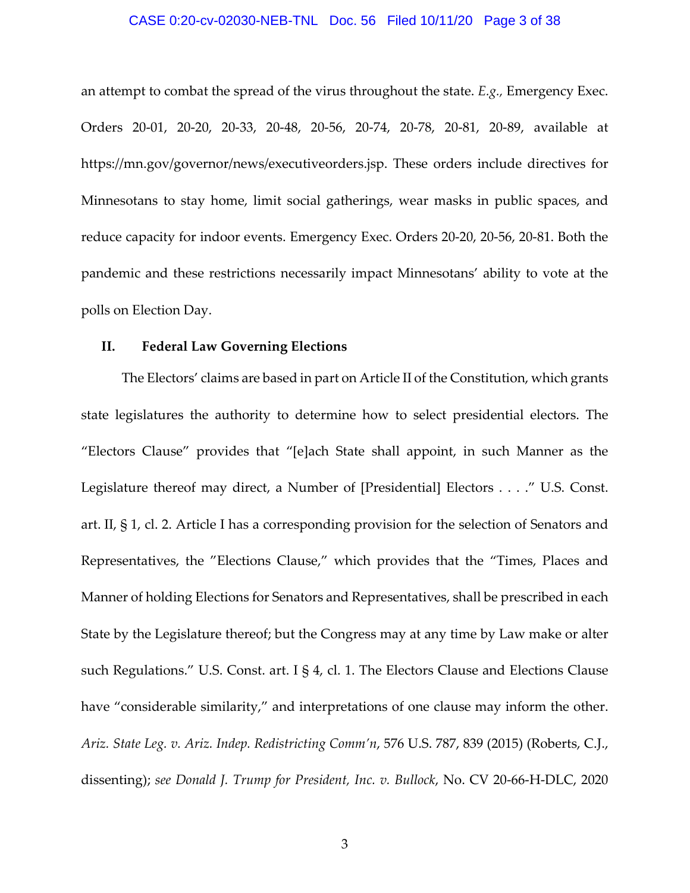#### CASE 0:20-cv-02030-NEB-TNL Doc. 56 Filed 10/11/20 Page 3 of 38

an attempt to combat the spread of the virus throughout the state. *E.g.,* Emergency Exec. Orders 20‐01, 20‐20, 20‐33, 20‐48, 20‐56, 20‐74, 20‐78, 20‐81, 20‐89, available at https://mn.gov/governor/news/executiveorders.jsp. These orders include directives for Minnesotans to stay home, limit social gatherings, wear masks in public spaces, and reduce capacity for indoor events. Emergency Exec. Orders 20‐20, 20‐56, 20‐81. Both the pandemic and these restrictions necessarily impact Minnesotans' ability to vote at the polls on Election Day.

#### **II. Federal Law Governing Elections**

The Electors' claims are based in part on Article II of the Constitution, which grants state legislatures the authority to determine how to select presidential electors. The "Electors Clause" provides that "[e]ach State shall appoint, in such Manner as the Legislature thereof may direct, a Number of [Presidential] Electors . . . ." U.S. Const. art. II, § 1, cl. 2. Article I has a corresponding provision for the selection of Senators and Representatives, the "Elections Clause," which provides that the "Times, Places and Manner of holding Elections for Senators and Representatives, shall be prescribed in each State by the Legislature thereof; but the Congress may at any time by Law make or alter such Regulations." U.S. Const. art. I § 4, cl. 1. The Electors Clause and Elections Clause have "considerable similarity," and interpretations of one clause may inform the other. *Ariz. State Leg. v. Ariz. Indep. Redistricting Comm'n*, 576 U.S. 787, 839 (2015) (Roberts, C.J., dissenting); *see Donald J. Trump for President, Inc. v. Bullock*, No. CV 20‐66‐H‐DLC, 2020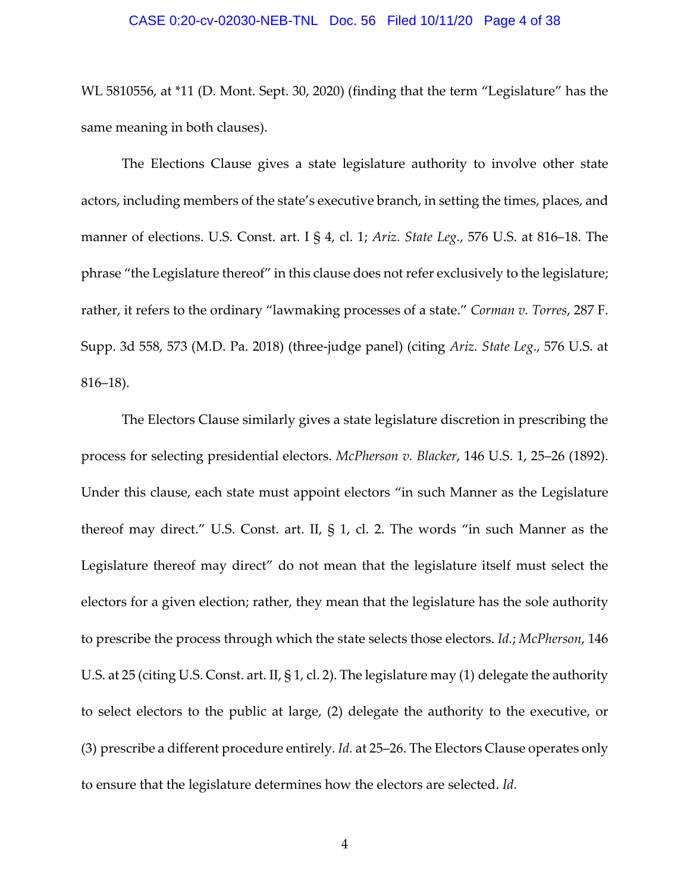#### CASE 0:20-cv-02030-NEB-TNL Doc. 56 Filed 10/11/20 Page 4 of 38

WL 5810556, at \*11 (D. Mont. Sept. 30, 2020) (finding that the term "Legislature" has the same meaning in both clauses).

The Elections Clause gives a state legislature authority to involve other state actors, including members of the state's executive branch, in setting the times, places, and manner of elections. U.S. Const. art. I § 4, cl. 1; *Ariz. State Leg*., 576 U.S. at 816–18. The phrase "the Legislature thereof" in this clause does not refer exclusively to the legislature; rather, it refers to the ordinary "lawmaking processes of a state." *Corman v. Torres*, 287 F. Supp. 3d 558, 573 (M.D. Pa. 2018) (three‐judge panel) (citing *Ariz. State Leg*., 576 U.S. at 816–18).

The Electors Clause similarly gives a state legislature discretion in prescribing the process for selecting presidential electors. *McPherson v. Blacker*, 146 U.S. 1, 25–26 (1892). Under this clause, each state must appoint electors "in such Manner as the Legislature thereof may direct." U.S. Const. art. II, § 1, cl. 2. The words "in such Manner as the Legislature thereof may direct" do not mean that the legislature itself must select the electors for a given election; rather, they mean that the legislature has the sole authority to prescribe the process through which the state selects those electors. *Id.*; *McPherson*, 146 U.S. at 25 (citing U.S. Const. art. II, § 1, cl. 2). The legislature may (1) delegate the authority to select electors to the public at large, (2) delegate the authority to the executive, or (3) prescribe a different procedure entirely. *Id.* at 25–26. The Electors Clause operates only to ensure that the legislature determines how the electors are selected. *Id.*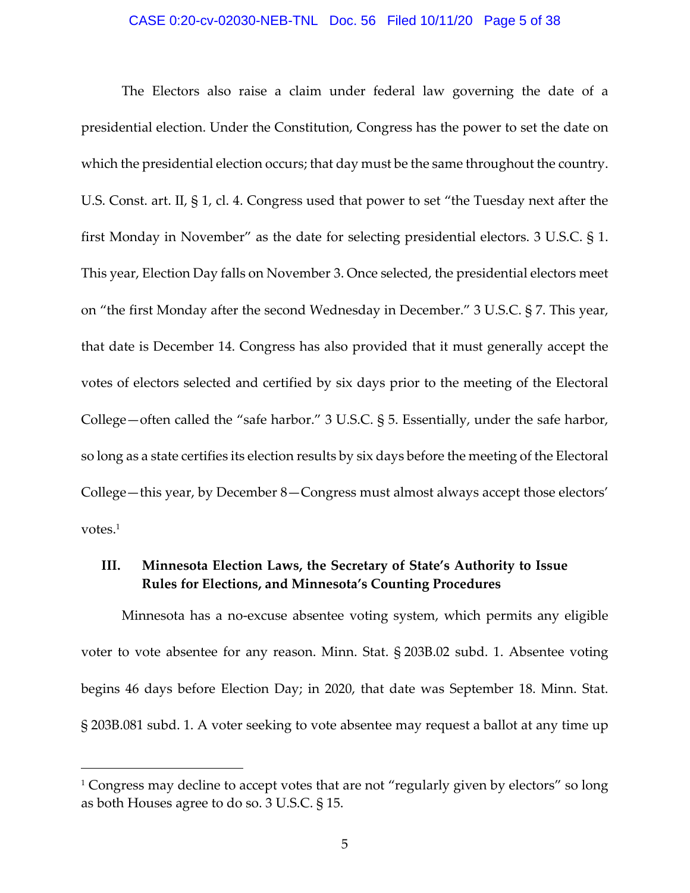#### CASE 0:20-cv-02030-NEB-TNL Doc. 56 Filed 10/11/20 Page 5 of 38

The Electors also raise a claim under federal law governing the date of a presidential election. Under the Constitution, Congress has the power to set the date on which the presidential election occurs; that day must be the same throughout the country. U.S. Const. art. II, § 1, cl. 4. Congress used that power to set "the Tuesday next after the first Monday in November" as the date for selecting presidential electors. 3 U.S.C. § 1. This year, Election Day falls on November 3. Once selected, the presidential electors meet on "the first Monday after the second Wednesday in December." 3 U.S.C. § 7. This year, that date is December 14. Congress has also provided that it must generally accept the votes of electors selected and certified by six days prior to the meeting of the Electoral College—often called the "safe harbor." 3 U.S.C. § 5. Essentially, under the safe harbor, so long as a state certifies its election results by six days before the meeting of the Electoral College—this year, by December 8—Congress must almost always accept those electors' votes.<sup>1</sup>

## **III. Minnesota Election Laws, the Secretary of State's Authority to Issue Rules for Elections, and Minnesota's Counting Procedures**

Minnesota has a no‐excuse absentee voting system, which permits any eligible voter to vote absentee for any reason. Minn. Stat. § 203B.02 subd. 1. Absentee voting begins 46 days before Election Day; in 2020, that date was September 18. Minn. Stat. § 203B.081 subd. 1. A voter seeking to vote absentee may request a ballot at any time up

<sup>&</sup>lt;sup>1</sup> Congress may decline to accept votes that are not "regularly given by electors" so long as both Houses agree to do so. 3 U.S.C. § 15.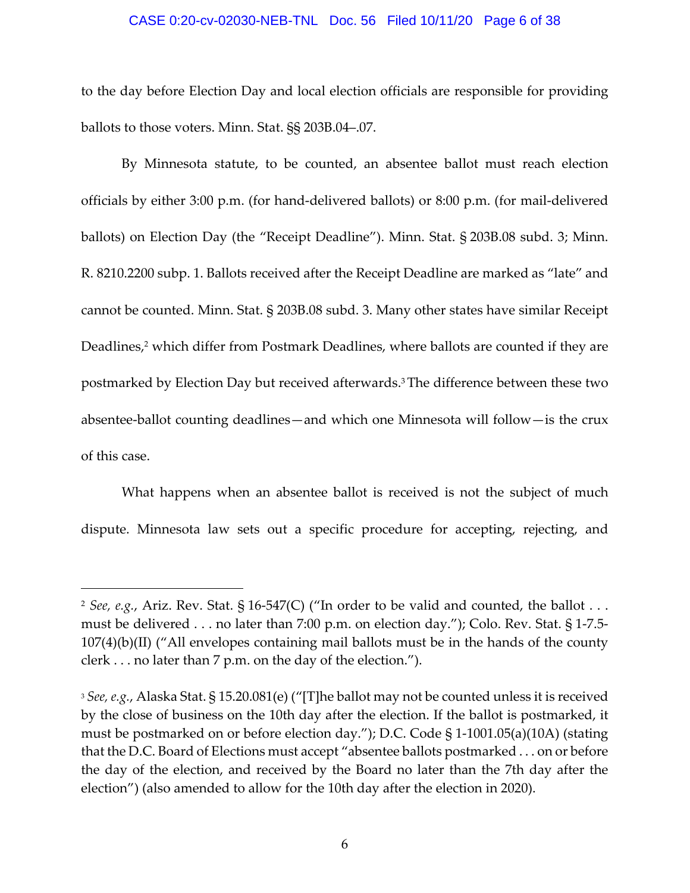#### CASE 0:20-cv-02030-NEB-TNL Doc. 56 Filed 10/11/20 Page 6 of 38

to the day before Election Day and local election officials are responsible for providing ballots to those voters. Minn. Stat. §§ 203B.04–.07.

By Minnesota statute, to be counted, an absentee ballot must reach election officials by either 3:00 p.m. (for hand‐delivered ballots) or 8:00 p.m. (for mail‐delivered ballots) on Election Day (the "Receipt Deadline"). Minn. Stat. § 203B.08 subd. 3; Minn. R. 8210.2200 subp. 1. Ballots received after the Receipt Deadline are marked as "late" and cannot be counted. Minn. Stat. § 203B.08 subd. 3. Many other states have similar Receipt Deadlines,<sup>2</sup> which differ from Postmark Deadlines, where ballots are counted if they are postmarked by Election Day but received afterwards.3The difference between these two absentee‐ballot counting deadlines—and which one Minnesota will follow—is the crux of this case.

What happens when an absentee ballot is received is not the subject of much dispute. Minnesota law sets out a specific procedure for accepting, rejecting, and

<sup>2</sup> *See, e.g.*, Ariz. Rev. Stat. § 16‐547(C) ("In order to be valid and counted, the ballot . . . must be delivered . . . no later than 7:00 p.m. on election day."); Colo. Rev. Stat. § 1‐7.5‐ 107(4)(b)(II) ("All envelopes containing mail ballots must be in the hands of the county clerk . . . no later than 7 p.m. on the day of the election.").

<sup>3</sup> *See, e.g.*, Alaska Stat. § 15.20.081(e) ("[T]he ballot may not be counted unless it is received by the close of business on the 10th day after the election. If the ballot is postmarked, it must be postmarked on or before election day."); D.C. Code § 1‐1001.05(a)(10A) (stating that the D.C. Board of Elections must accept "absentee ballots postmarked . . . on or before the day of the election, and received by the Board no later than the 7th day after the election") (also amended to allow for the 10th day after the election in 2020).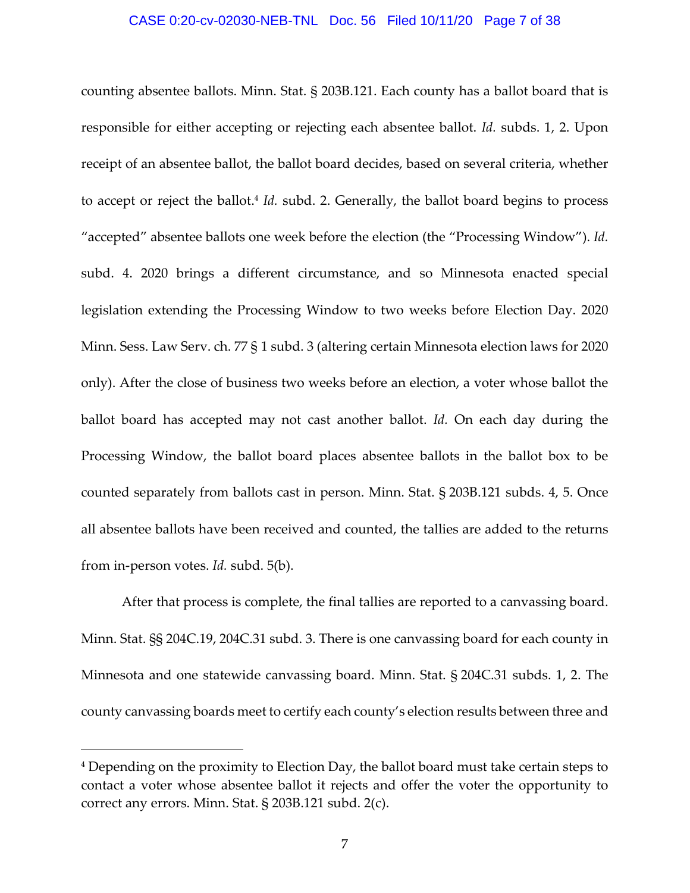#### CASE 0:20-cv-02030-NEB-TNL Doc. 56 Filed 10/11/20 Page 7 of 38

counting absentee ballots. Minn. Stat. § 203B.121. Each county has a ballot board that is responsible for either accepting or rejecting each absentee ballot. *Id.* subds. 1, 2. Upon receipt of an absentee ballot, the ballot board decides, based on several criteria, whether to accept or reject the ballot.<sup>4</sup> *Id.* subd. 2. Generally, the ballot board begins to process "accepted" absentee ballots one week before the election (the "Processing Window"). *Id.* subd. 4. 2020 brings a different circumstance, and so Minnesota enacted special legislation extending the Processing Window to two weeks before Election Day. 2020 Minn. Sess. Law Serv. ch. 77 § 1 subd. 3 (altering certain Minnesota election laws for 2020 only). After the close of business two weeks before an election, a voter whose ballot the ballot board has accepted may not cast another ballot. *Id.* On each day during the Processing Window, the ballot board places absentee ballots in the ballot box to be counted separately from ballots cast in person. Minn. Stat. § 203B.121 subds. 4, 5. Once all absentee ballots have been received and counted, the tallies are added to the returns from in‐person votes. *Id.* subd. 5(b).

After that process is complete, the final tallies are reported to a canvassing board. Minn. Stat. §§ 204C.19, 204C.31 subd. 3. There is one canvassing board for each county in Minnesota and one statewide canvassing board. Minn. Stat. § 204C.31 subds. 1, 2. The county canvassing boards meet to certify each county's election results between three and

<sup>4</sup> Depending on the proximity to Election Day, the ballot board must take certain steps to contact a voter whose absentee ballot it rejects and offer the voter the opportunity to correct any errors. Minn. Stat. § 203B.121 subd. 2(c).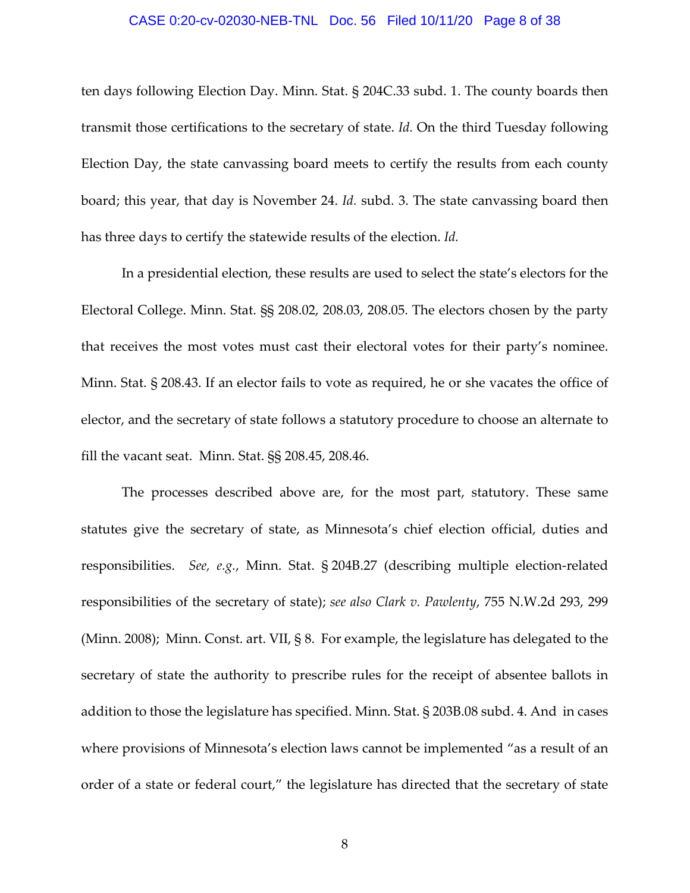#### CASE 0:20-cv-02030-NEB-TNL Doc. 56 Filed 10/11/20 Page 8 of 38

ten days following Election Day. Minn. Stat. § 204C.33 subd. 1. The county boards then transmit those certifications to the secretary of state. *Id.* On the third Tuesday following Election Day, the state canvassing board meets to certify the results from each county board; this year, that day is November 24. *Id.* subd. 3. The state canvassing board then has three days to certify the statewide results of the election. *Id.*

In a presidential election, these results are used to select the state's electors for the Electoral College. Minn. Stat. §§ 208.02, 208.03, 208.05. The electors chosen by the party that receives the most votes must cast their electoral votes for their party's nominee. Minn. Stat. § 208.43. If an elector fails to vote as required, he or she vacates the office of elector, and the secretary of state follows a statutory procedure to choose an alternate to fill the vacant seat. Minn. Stat. §§ 208.45, 208.46.

The processes described above are, for the most part, statutory. These same statutes give the secretary of state, as Minnesota's chief election official, duties and responsibilities. *See, e.g.*, Minn. Stat. § 204B.27 (describing multiple election‐related responsibilities of the secretary of state); *see also Clark v. Pawlenty*, 755 N.W.2d 293, 299 (Minn. 2008); Minn. Const. art. VII, § 8. For example, the legislature has delegated to the secretary of state the authority to prescribe rules for the receipt of absentee ballots in addition to those the legislature has specified. Minn. Stat. § 203B.08 subd. 4. And in cases where provisions of Minnesota's election laws cannot be implemented "as a result of an order of a state or federal court," the legislature has directed that the secretary of state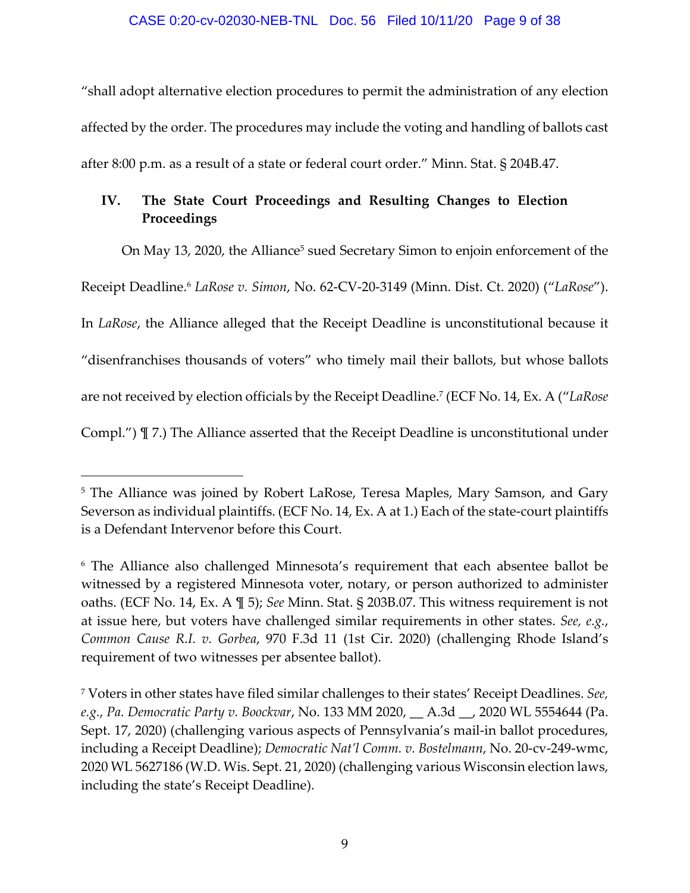"shall adopt alternative election procedures to permit the administration of any election affected by the order. The procedures may include the voting and handling of ballots cast after 8:00 p.m. as a result of a state or federal court order." Minn. Stat. § 204B.47.

# **IV. The State Court Proceedings and Resulting Changes to Election Proceedings**

On May 13, 2020, the Alliance<sup>5</sup> sued Secretary Simon to enjoin enforcement of the

Receipt Deadline.6 *LaRose v. Simon*, No. 62‐CV‐20‐3149 (Minn. Dist. Ct. 2020) ("*LaRose*").

In *LaRose*, the Alliance alleged that the Receipt Deadline is unconstitutional because it

"disenfranchises thousands of voters" who timely mail their ballots, but whose ballots

are not received by election officials by the Receipt Deadline.7 (ECF No. 14, Ex. A ("*LaRose*

Compl.") ¶ 7.) The Alliance asserted that the Receipt Deadline is unconstitutional under

<sup>&</sup>lt;sup>5</sup> The Alliance was joined by Robert LaRose, Teresa Maples, Mary Samson, and Gary Severson as individual plaintiffs. (ECF No. 14, Ex. A at 1.) Each of the state-court plaintiffs is a Defendant Intervenor before this Court.

<sup>6</sup> The Alliance also challenged Minnesota's requirement that each absentee ballot be witnessed by a registered Minnesota voter, notary, or person authorized to administer oaths. (ECF No. 14, Ex. A ¶ 5); *See* Minn. Stat. § 203B.07. This witness requirement is not at issue here, but voters have challenged similar requirements in other states. *See, e.g.*, *Common Cause R.I. v. Gorbea*, 970 F.3d 11 (1st Cir. 2020) (challenging Rhode Island's requirement of two witnesses per absentee ballot).

<sup>7</sup> Voters in other states have filed similar challenges to their states' Receipt Deadlines. *See, e.g.*, *Pa. Democratic Party v. Boockvar*, No. 133 MM 2020, \_\_ A.3d \_\_, 2020 WL 5554644 (Pa. Sept. 17, 2020) (challenging various aspects of Pennsylvania's mail-in ballot procedures, including a Receipt Deadline); *Democratic Nat'l Comm. v. Bostelmann*, No. 20‐cv‐249‐wmc, 2020 WL 5627186 (W.D. Wis. Sept. 21, 2020) (challenging various Wisconsin election laws, including the state's Receipt Deadline).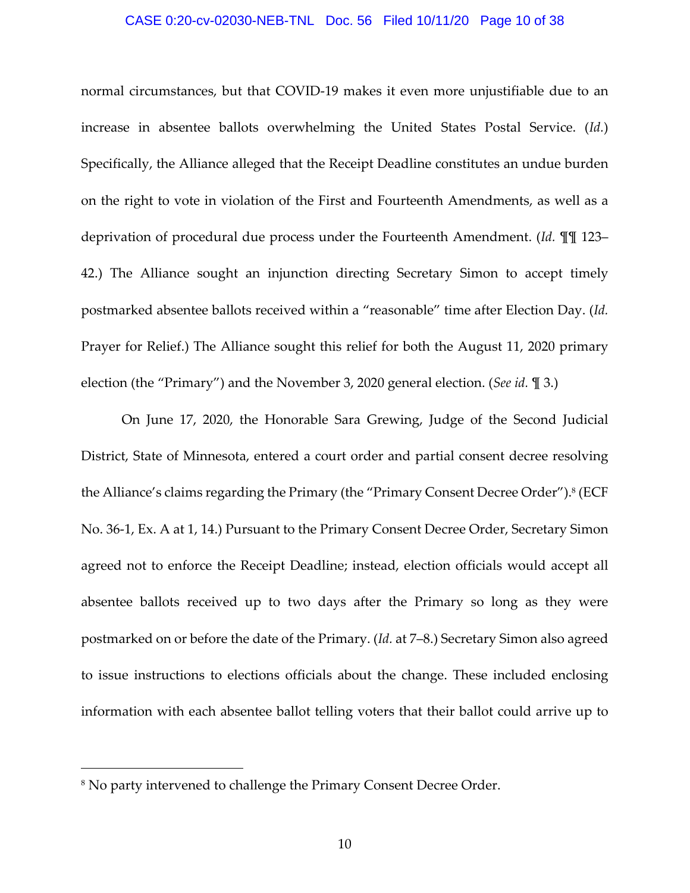#### CASE 0:20-cv-02030-NEB-TNL Doc. 56 Filed 10/11/20 Page 10 of 38

normal circumstances, but that COVID‐19 makes it even more unjustifiable due to an increase in absentee ballots overwhelming the United States Postal Service. (*Id.*) Specifically, the Alliance alleged that the Receipt Deadline constitutes an undue burden on the right to vote in violation of the First and Fourteenth Amendments, as well as a deprivation of procedural due process under the Fourteenth Amendment. (*Id.* ¶¶ 123– 42.) The Alliance sought an injunction directing Secretary Simon to accept timely postmarked absentee ballots received within a "reasonable" time after Election Day. (*Id.* Prayer for Relief.) The Alliance sought this relief for both the August 11, 2020 primary election (the "Primary") and the November 3, 2020 general election. (*See id.* ¶ 3.)

On June 17, 2020, the Honorable Sara Grewing, Judge of the Second Judicial District, State of Minnesota, entered a court order and partial consent decree resolving the Alliance's claims regarding the Primary (the "Primary Consent Decree Order").<sup>8</sup> (ECF No. 36‐1, Ex. A at 1, 14.) Pursuant to the Primary Consent Decree Order, Secretary Simon agreed not to enforce the Receipt Deadline; instead, election officials would accept all absentee ballots received up to two days after the Primary so long as they were postmarked on or before the date of the Primary. (*Id.* at 7–8.) Secretary Simon also agreed to issue instructions to elections officials about the change. These included enclosing information with each absentee ballot telling voters that their ballot could arrive up to

<sup>8</sup> No party intervened to challenge the Primary Consent Decree Order.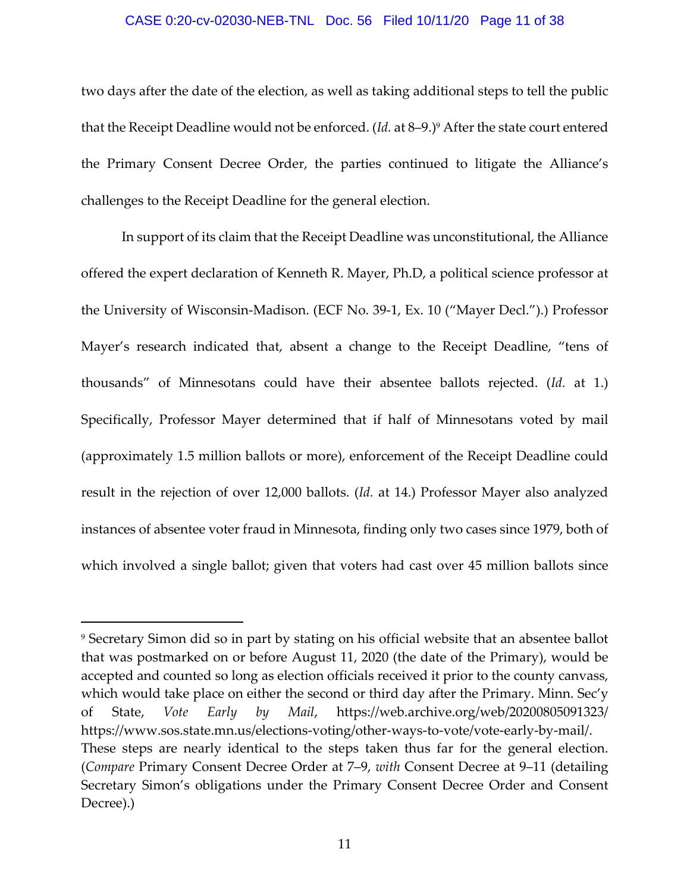#### CASE 0:20-cv-02030-NEB-TNL Doc. 56 Filed 10/11/20 Page 11 of 38

two days after the date of the election, as well as taking additional steps to tell the public that the Receipt Deadline would not be enforced. (*Id.* at 8-9.)<sup>9</sup> After the state court entered the Primary Consent Decree Order, the parties continued to litigate the Alliance's challenges to the Receipt Deadline for the general election.

In support of its claim that the Receipt Deadline was unconstitutional, the Alliance offered the expert declaration of Kenneth R. Mayer, Ph.D, a political science professor at the University of Wisconsin‐Madison. (ECF No. 39‐1, Ex. 10 ("Mayer Decl.").) Professor Mayer's research indicated that, absent a change to the Receipt Deadline, "tens of thousands" of Minnesotans could have their absentee ballots rejected. (*Id.* at 1.) Specifically, Professor Mayer determined that if half of Minnesotans voted by mail (approximately 1.5 million ballots or more), enforcement of the Receipt Deadline could result in the rejection of over 12,000 ballots. (*Id.* at 14.) Professor Mayer also analyzed instances of absentee voter fraud in Minnesota, finding only two cases since 1979, both of which involved a single ballot; given that voters had cast over 45 million ballots since

<sup>9</sup> Secretary Simon did so in part by stating on his official website that an absentee ballot that was postmarked on or before August 11, 2020 (the date of the Primary), would be accepted and counted so long as election officials received it prior to the county canvass, which would take place on either the second or third day after the Primary. Minn. Sec'y of State, *Vote Early by Mail*, https://web.archive.org/web/20200805091323/ https://www.sos.state.mn.us/elections‐voting/other‐ways‐to‐vote/vote‐early‐by‐mail/. These steps are nearly identical to the steps taken thus far for the general election. (*Compare* Primary Consent Decree Order at 7–9, *with* Consent Decree at 9–11 (detailing Secretary Simon's obligations under the Primary Consent Decree Order and Consent Decree).)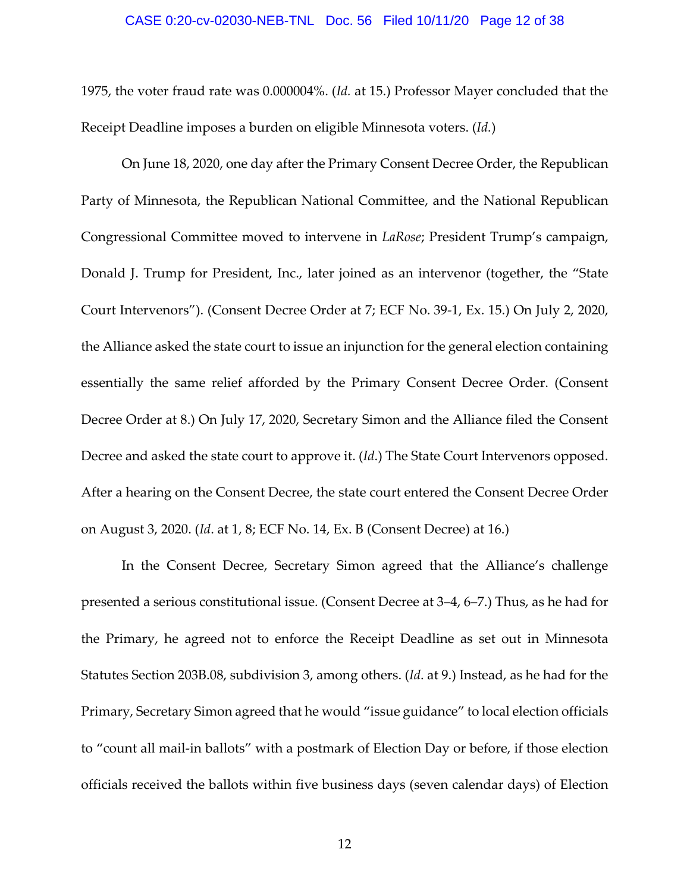#### CASE 0:20-cv-02030-NEB-TNL Doc. 56 Filed 10/11/20 Page 12 of 38

1975, the voter fraud rate was 0.000004%. (*Id.* at 15.) Professor Mayer concluded that the Receipt Deadline imposes a burden on eligible Minnesota voters. (*Id.*)

On June 18, 2020, one day after the Primary Consent Decree Order, the Republican Party of Minnesota, the Republican National Committee, and the National Republican Congressional Committee moved to intervene in *LaRose*; President Trump's campaign, Donald J. Trump for President, Inc., later joined as an intervenor (together, the "State Court Intervenors"). (Consent Decree Order at 7; ECF No. 39‐1, Ex. 15.) On July 2, 2020, the Alliance asked the state court to issue an injunction for the general election containing essentially the same relief afforded by the Primary Consent Decree Order. (Consent Decree Order at 8.) On July 17, 2020, Secretary Simon and the Alliance filed the Consent Decree and asked the state court to approve it. (*Id*.) The State Court Intervenors opposed. After a hearing on the Consent Decree, the state court entered the Consent Decree Order on August 3, 2020. (*Id*. at 1, 8; ECF No. 14, Ex. B (Consent Decree) at 16.)

In the Consent Decree, Secretary Simon agreed that the Alliance's challenge presented a serious constitutional issue. (Consent Decree at 3–4, 6–7.) Thus, as he had for the Primary, he agreed not to enforce the Receipt Deadline as set out in Minnesota Statutes Section 203B.08, subdivision 3, among others. (*Id*. at 9.) Instead, as he had for the Primary, Secretary Simon agreed that he would "issue guidance" to local election officials to "count all mail‐in ballots" with a postmark of Election Day or before, if those election officials received the ballots within five business days (seven calendar days) of Election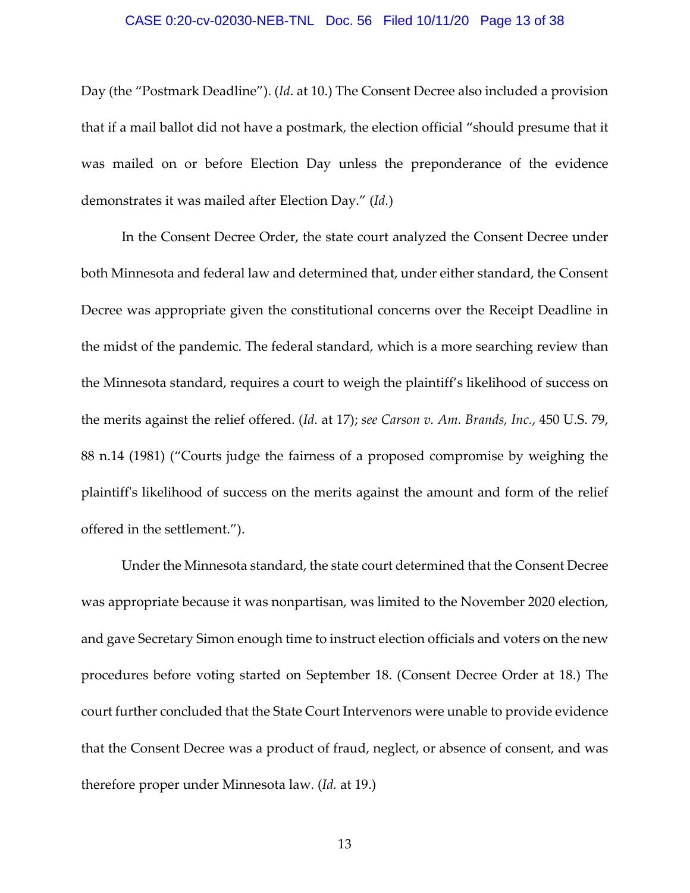#### CASE 0:20-cv-02030-NEB-TNL Doc. 56 Filed 10/11/20 Page 13 of 38

Day (the "Postmark Deadline"). (*Id*. at 10.) The Consent Decree also included a provision that if a mail ballot did not have a postmark, the election official "should presume that it was mailed on or before Election Day unless the preponderance of the evidence demonstrates it was mailed after Election Day." (*Id.*)

In the Consent Decree Order, the state court analyzed the Consent Decree under both Minnesota and federal law and determined that, under either standard, the Consent Decree was appropriate given the constitutional concerns over the Receipt Deadline in the midst of the pandemic. The federal standard, which is a more searching review than the Minnesota standard, requires a court to weigh the plaintiff's likelihood of success on the merits against the relief offered. (*Id.* at 17); *see Carson v. Am. Brands, Inc.*, 450 U.S. 79, 88 n.14 (1981) ("Courts judge the fairness of a proposed compromise by weighing the plaintiffʹs likelihood of success on the merits against the amount and form of the relief offered in the settlement.").

Under the Minnesota standard, the state court determined that the Consent Decree was appropriate because it was nonpartisan, was limited to the November 2020 election, and gave Secretary Simon enough time to instruct election officials and voters on the new procedures before voting started on September 18. (Consent Decree Order at 18.) The court further concluded that the State Court Intervenors were unable to provide evidence that the Consent Decree was a product of fraud, neglect, or absence of consent, and was therefore proper under Minnesota law. (*Id.* at 19.)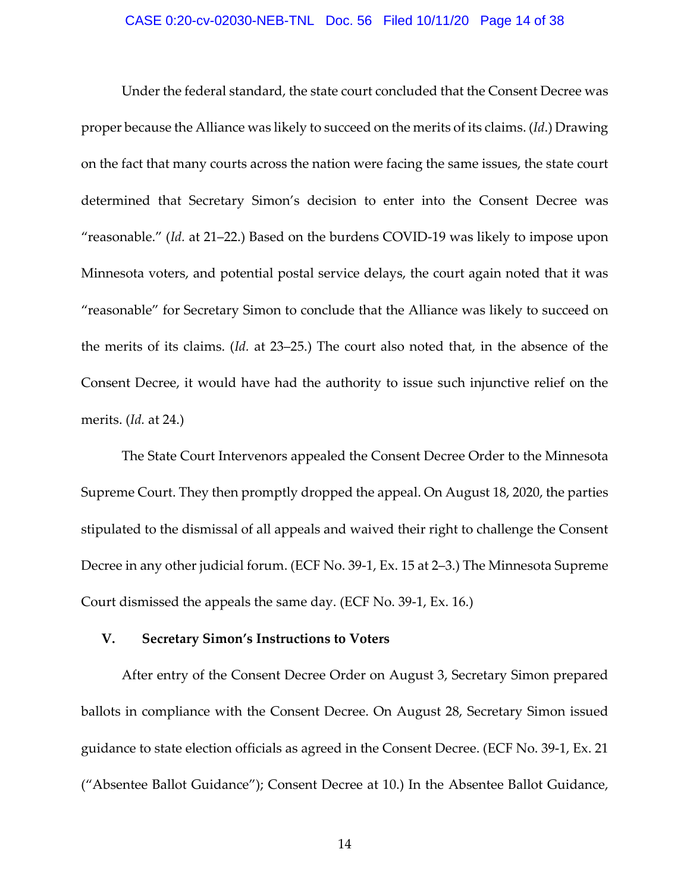#### CASE 0:20-cv-02030-NEB-TNL Doc. 56 Filed 10/11/20 Page 14 of 38

Under the federal standard, the state court concluded that the Consent Decree was proper because the Alliance was likely to succeed on the merits of its claims. (*Id*.) Drawing on the fact that many courts across the nation were facing the same issues, the state court determined that Secretary Simon's decision to enter into the Consent Decree was "reasonable." (*Id.* at 21–22.) Based on the burdens COVID‐19 was likely to impose upon Minnesota voters, and potential postal service delays, the court again noted that it was "reasonable" for Secretary Simon to conclude that the Alliance was likely to succeed on the merits of its claims. (*Id.* at 23–25.) The court also noted that, in the absence of the Consent Decree, it would have had the authority to issue such injunctive relief on the merits. (*Id.* at 24.)

The State Court Intervenors appealed the Consent Decree Order to the Minnesota Supreme Court. They then promptly dropped the appeal. On August 18, 2020, the parties stipulated to the dismissal of all appeals and waived their right to challenge the Consent Decree in any other judicial forum. (ECF No. 39‐1, Ex. 15 at 2–3.) The Minnesota Supreme Court dismissed the appeals the same day. (ECF No. 39‐1, Ex. 16.)

#### **V. Secretary Simon's Instructions to Voters**

After entry of the Consent Decree Order on August 3, Secretary Simon prepared ballots in compliance with the Consent Decree. On August 28, Secretary Simon issued guidance to state election officials as agreed in the Consent Decree. (ECF No. 39‐1, Ex. 21 ("Absentee Ballot Guidance"); Consent Decree at 10.) In the Absentee Ballot Guidance,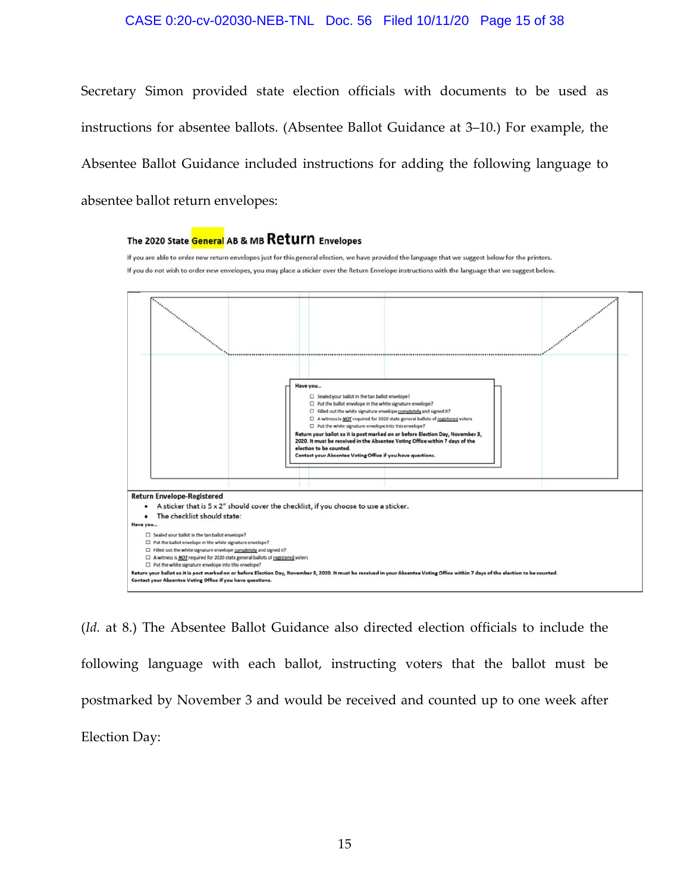#### CASE 0:20-cv-02030-NEB-TNL Doc. 56 Filed 10/11/20 Page 15 of 38

Secretary Simon provided state election officials with documents to be used as instructions for absentee ballots. (Absentee Ballot Guidance at 3–10.) For example, the Absentee Ballot Guidance included instructions for adding the following language to absentee ballot return envelopes:

#### The 2020 State General AB & MB Return Envelopes

If you are able to order new return envelopes just for this general election, we have provided the language that we suggest below for the printers. If you do not wish to order new envelopes, you may place a sticker over the Return Envelope instructions with the language that we suggest below.



(*Id.* at 8.) The Absentee Ballot Guidance also directed election officials to include the following language with each ballot, instructing voters that the ballot must be postmarked by November 3 and would be received and counted up to one week after Election Day: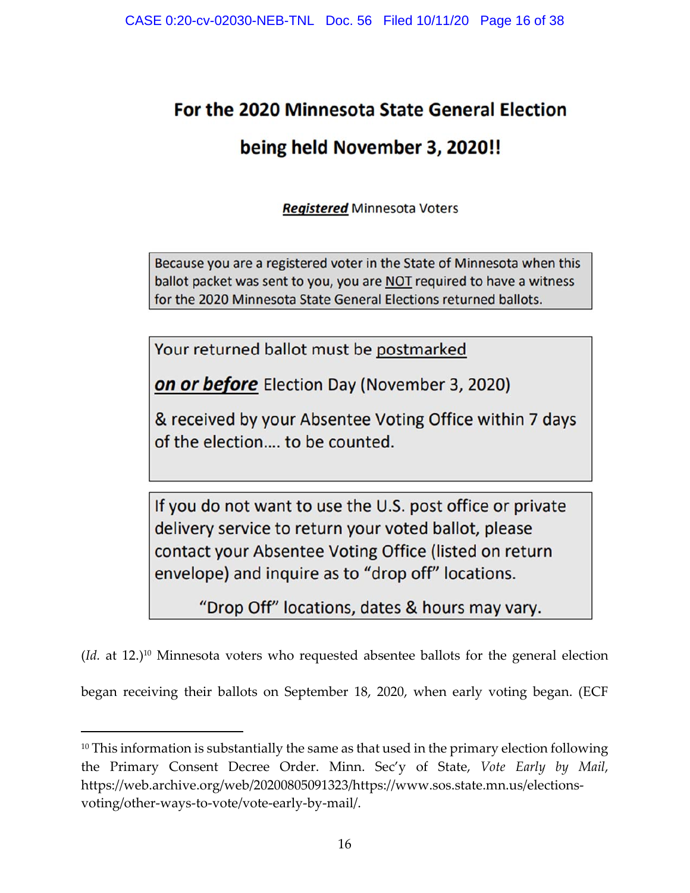# For the 2020 Minnesota State General Election

# being held November 3, 2020!!

**Registered Minnesota Voters** 

Because you are a registered voter in the State of Minnesota when this ballot packet was sent to you, you are NOT required to have a witness for the 2020 Minnesota State General Elections returned ballots.

Your returned ballot must be postmarked

**on or before** Election Day (November 3, 2020)

& received by your Absentee Voting Office within 7 days of the election.... to be counted.

If you do not want to use the U.S. post office or private delivery service to return your voted ballot, please contact your Absentee Voting Office (listed on return envelope) and inquire as to "drop off" locations.

"Drop Off" locations, dates & hours may vary.

(*Id.* at 12.)10 Minnesota voters who requested absentee ballots for the general election began receiving their ballots on September 18, 2020, when early voting began. (ECF

<sup>&</sup>lt;sup>10</sup> This information is substantially the same as that used in the primary election following the Primary Consent Decree Order. Minn. Sec'y of State, *Vote Early by Mail*, https://web.archive.org/web/20200805091323/https://www.sos.state.mn.us/elections‐ voting/other‐ways‐to‐vote/vote‐early‐by‐mail/.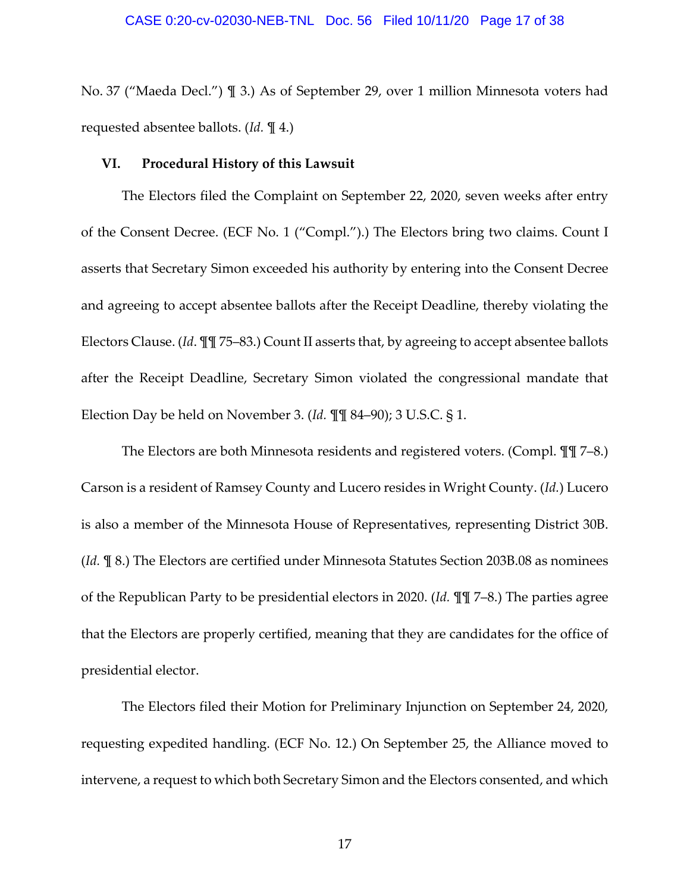No. 37 ("Maeda Decl.") ¶ 3.) As of September 29, over 1 million Minnesota voters had requested absentee ballots. (*Id.* ¶ 4.)

#### **VI. Procedural History of this Lawsuit**

The Electors filed the Complaint on September 22, 2020, seven weeks after entry of the Consent Decree. (ECF No. 1 ("Compl.").) The Electors bring two claims. Count I asserts that Secretary Simon exceeded his authority by entering into the Consent Decree and agreeing to accept absentee ballots after the Receipt Deadline, thereby violating the Electors Clause. (*Id*. ¶¶ 75–83.) Count II asserts that, by agreeing to accept absentee ballots after the Receipt Deadline, Secretary Simon violated the congressional mandate that Election Day be held on November 3. (*Id.* ¶¶ 84–90); 3 U.S.C. § 1.

The Electors are both Minnesota residents and registered voters. (Compl. ¶¶ 7–8.) Carson is a resident of Ramsey County and Lucero resides in Wright County. (*Id.*) Lucero is also a member of the Minnesota House of Representatives, representing District 30B. (*Id.* ¶ 8.) The Electors are certified under Minnesota Statutes Section 203B.08 as nominees of the Republican Party to be presidential electors in 2020. (*Id.* ¶¶ 7–8.) The parties agree that the Electors are properly certified, meaning that they are candidates for the office of presidential elector.

The Electors filed their Motion for Preliminary Injunction on September 24, 2020, requesting expedited handling. (ECF No. 12.) On September 25, the Alliance moved to intervene, a request to which both Secretary Simon and the Electors consented, and which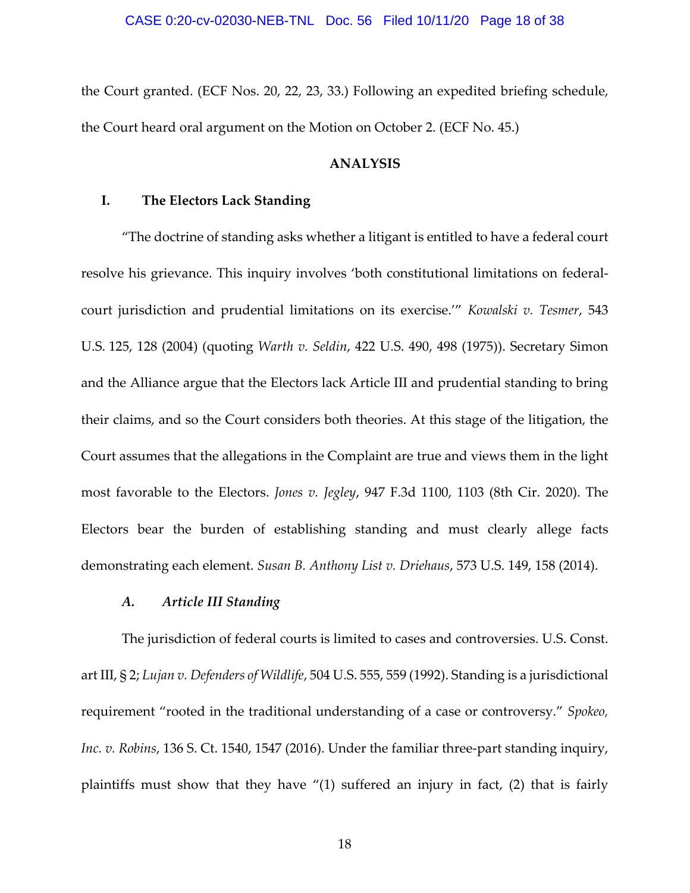the Court granted. (ECF Nos. 20, 22, 23, 33.) Following an expedited briefing schedule, the Court heard oral argument on the Motion on October 2. (ECF No. 45.)

#### **ANALYSIS**

#### **I. The Electors Lack Standing**

"The doctrine of standing asks whether a litigant is entitled to have a federal court resolve his grievance. This inquiry involves 'both constitutional limitations on federal‐ court jurisdiction and prudential limitations on its exercise.'" *Kowalski v. Tesmer*, 543 U.S. 125, 128 (2004) (quoting *Warth v. Seldin*, 422 U.S. 490, 498 (1975)). Secretary Simon and the Alliance argue that the Electors lack Article III and prudential standing to bring their claims, and so the Court considers both theories. At this stage of the litigation, the Court assumes that the allegations in the Complaint are true and views them in the light most favorable to the Electors. *Jones v. Jegley*, 947 F.3d 1100, 1103 (8th Cir. 2020). The Electors bear the burden of establishing standing and must clearly allege facts demonstrating each element. *Susan B. Anthony List v. Driehaus*, 573 U.S. 149, 158 (2014).

#### *A. Article III Standing*

The jurisdiction of federal courts is limited to cases and controversies. U.S. Const. art III, § 2; *Lujan v. Defenders of Wildlife*, 504 U.S. 555, 559 (1992). Standing is a jurisdictional requirement "rooted in the traditional understanding of a case or controversy." *Spokeo, Inc. v. Robins*, 136 S. Ct. 1540, 1547 (2016). Under the familiar three‐part standing inquiry, plaintiffs must show that they have "(1) suffered an injury in fact, (2) that is fairly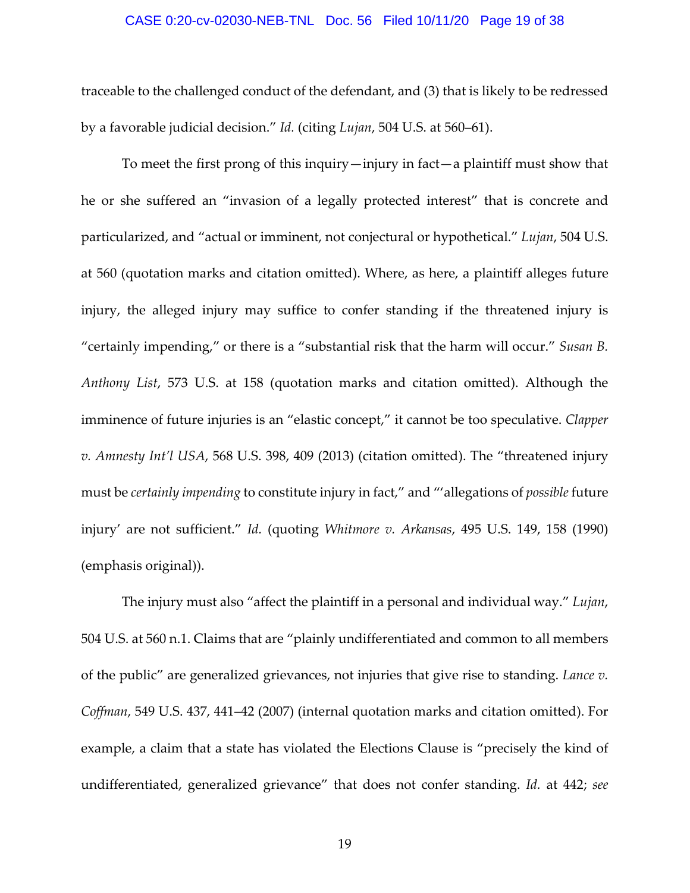#### CASE 0:20-cv-02030-NEB-TNL Doc. 56 Filed 10/11/20 Page 19 of 38

traceable to the challenged conduct of the defendant, and (3) that is likely to be redressed by a favorable judicial decision." *Id.* (citing *Lujan*, 504 U.S. at 560–61).

To meet the first prong of this inquiry—injury in fact—a plaintiff must show that he or she suffered an "invasion of a legally protected interest" that is concrete and particularized, and "actual or imminent, not conjectural or hypothetical." *Lujan*, 504 U.S. at 560 (quotation marks and citation omitted). Where, as here, a plaintiff alleges future injury, the alleged injury may suffice to confer standing if the threatened injury is "certainly impending," or there is a "substantial risk that the harm will occur." *Susan B. Anthony List*, 573 U.S. at 158 (quotation marks and citation omitted). Although the imminence of future injuries is an "elastic concept," it cannot be too speculative. *Clapper v. Amnesty Int'l USA*, 568 U.S. 398, 409 (2013) (citation omitted). The "threatened injury must be *certainly impending* to constitute injury in fact," and "'allegations of *possible* future injury' are not sufficient." *Id.* (quoting *Whitmore v. Arkansas*, 495 U.S. 149, 158 (1990) (emphasis original)).

The injury must also "affect the plaintiff in a personal and individual way." *Lujan*, 504 U.S. at 560 n.1. Claims that are "plainly undifferentiated and common to all members of the public" are generalized grievances, not injuries that give rise to standing. *Lance v. Coffman*, 549 U.S. 437, 441–42 (2007) (internal quotation marks and citation omitted). For example, a claim that a state has violated the Elections Clause is "precisely the kind of undifferentiated, generalized grievance" that does not confer standing. *Id.* at 442; *see*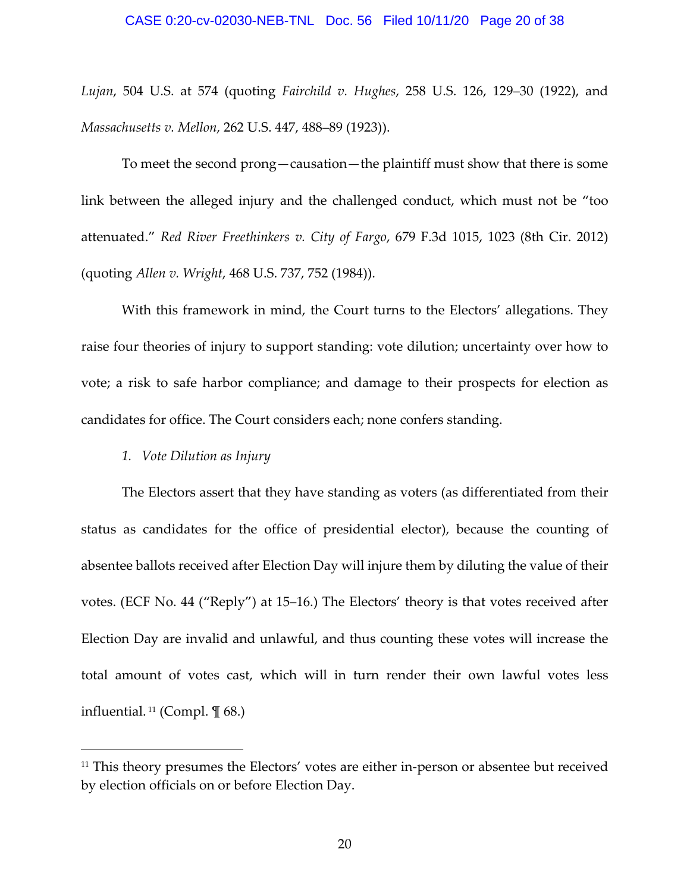#### CASE 0:20-cv-02030-NEB-TNL Doc. 56 Filed 10/11/20 Page 20 of 38

*Lujan*, 504 U.S. at 574 (quoting *Fairchild v. Hughes*, 258 U.S. 126, 129–30 (1922), and *Massachusetts v. Mellon*, 262 U.S. 447, 488–89 (1923)).

To meet the second prong—causation—the plaintiff must show that there is some link between the alleged injury and the challenged conduct, which must not be "too attenuated." *Red River Freethinkers v. City of Fargo*, 679 F.3d 1015, 1023 (8th Cir. 2012) (quoting *Allen v. Wright*, 468 U.S. 737, 752 (1984)).

With this framework in mind, the Court turns to the Electors' allegations. They raise four theories of injury to support standing: vote dilution; uncertainty over how to vote; a risk to safe harbor compliance; and damage to their prospects for election as candidates for office. The Court considers each; none confers standing.

#### *1. Vote Dilution as Injury*

The Electors assert that they have standing as voters (as differentiated from their status as candidates for the office of presidential elector), because the counting of absentee ballots received after Election Day will injure them by diluting the value of their votes. (ECF No. 44 ("Reply") at 15–16.) The Electors' theory is that votes received after Election Day are invalid and unlawful, and thus counting these votes will increase the total amount of votes cast, which will in turn render their own lawful votes less influential.<sup>11</sup> (Compl.  $\P$  68.)

<sup>&</sup>lt;sup>11</sup> This theory presumes the Electors' votes are either in-person or absentee but received by election officials on or before Election Day.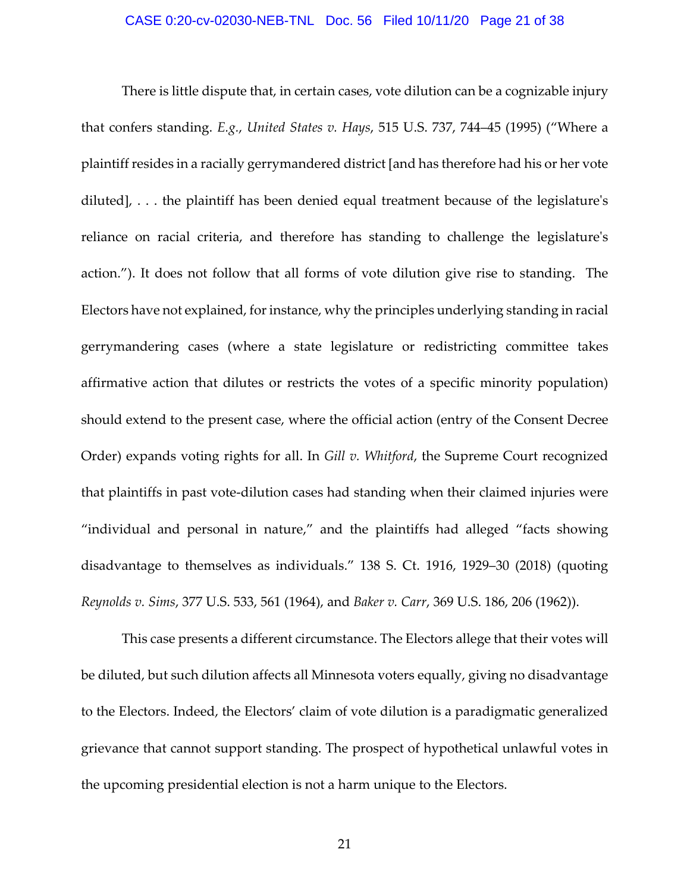#### CASE 0:20-cv-02030-NEB-TNL Doc. 56 Filed 10/11/20 Page 21 of 38

There is little dispute that, in certain cases, vote dilution can be a cognizable injury that confers standing. *E.g.*, *United States v. Hays*, 515 U.S. 737, 744–45 (1995) ("Where a plaintiff resides in a racially gerrymandered district [and has therefore had his or her vote diluted], . . . the plaintiff has been denied equal treatment because of the legislature's reliance on racial criteria, and therefore has standing to challenge the legislature's action."). It does not follow that all forms of vote dilution give rise to standing. The Electors have not explained, for instance, why the principles underlying standing in racial gerrymandering cases (where a state legislature or redistricting committee takes affirmative action that dilutes or restricts the votes of a specific minority population) should extend to the present case, where the official action (entry of the Consent Decree Order) expands voting rights for all. In *Gill v. Whitford*, the Supreme Court recognized that plaintiffs in past vote‐dilution cases had standing when their claimed injuries were "individual and personal in nature," and the plaintiffs had alleged "facts showing disadvantage to themselves as individuals." 138 S. Ct. 1916, 1929–30 (2018) (quoting *Reynolds v. Sims*, 377 U.S. 533, 561 (1964), and *Baker v. Carr*, 369 U.S. 186, 206 (1962)).

This case presents a different circumstance. The Electors allege that their votes will be diluted, but such dilution affects all Minnesota voters equally, giving no disadvantage to the Electors. Indeed, the Electors' claim of vote dilution is a paradigmatic generalized grievance that cannot support standing. The prospect of hypothetical unlawful votes in the upcoming presidential election is not a harm unique to the Electors.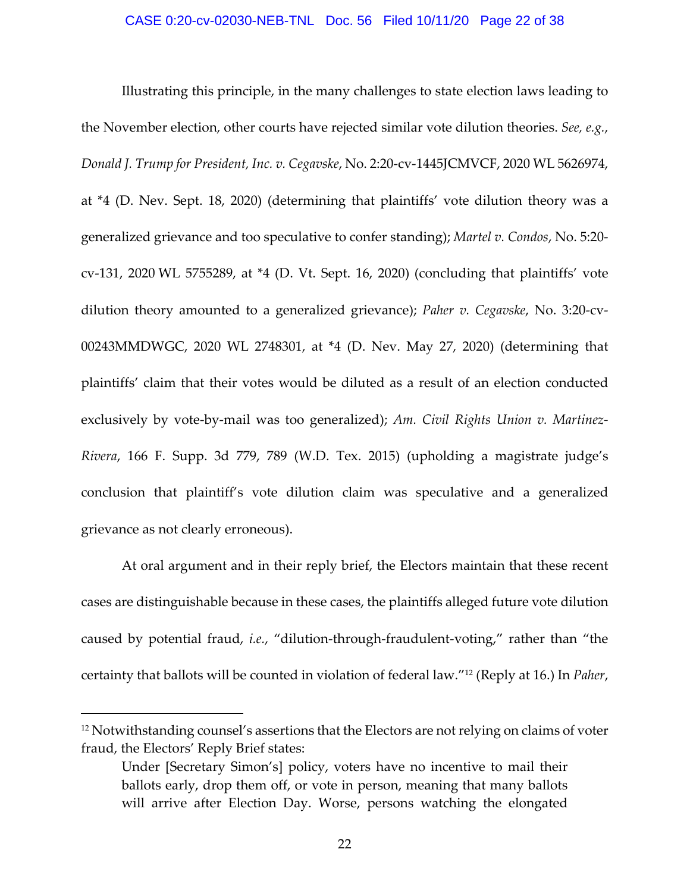Illustrating this principle, in the many challenges to state election laws leading to the November election, other courts have rejected similar vote dilution theories. *See, e.g.*, *Donald J. Trump for President, Inc. v. Cegavske*, No. 2:20‐cv‐1445JCMVCF, 2020 WL 5626974, at \*4 (D. Nev. Sept. 18, 2020) (determining that plaintiffs' vote dilution theory was a generalized grievance and too speculative to confer standing); *Martel v. Condos*, No. 5:20‐ cv‐131, 2020 WL 5755289, at \*4 (D. Vt. Sept. 16, 2020) (concluding that plaintiffs' vote dilution theory amounted to a generalized grievance); *Paher v. Cegavske*, No. 3:20‐cv‐ 00243MMDWGC, 2020 WL 2748301, at \*4 (D. Nev. May 27, 2020) (determining that plaintiffs' claim that their votes would be diluted as a result of an election conducted exclusively by vote‐by‐mail was too generalized); *Am. Civil Rights Union v. Martinez‐ Rivera*, 166 F. Supp. 3d 779, 789 (W.D. Tex. 2015) (upholding a magistrate judge's conclusion that plaintiff's vote dilution claim was speculative and a generalized grievance as not clearly erroneous).

At oral argument and in their reply brief, the Electors maintain that these recent cases are distinguishable because in these cases, the plaintiffs alleged future vote dilution caused by potential fraud, *i.e.*, "dilution‐through‐fraudulent‐voting," rather than "the certainty that ballots will be counted in violation of federal law."12 (Reply at 16.) In *Paher*,

<sup>&</sup>lt;sup>12</sup> Notwithstanding counsel's assertions that the Electors are not relying on claims of voter fraud, the Electors' Reply Brief states:

Under [Secretary Simon's] policy, voters have no incentive to mail their ballots early, drop them off, or vote in person, meaning that many ballots will arrive after Election Day. Worse, persons watching the elongated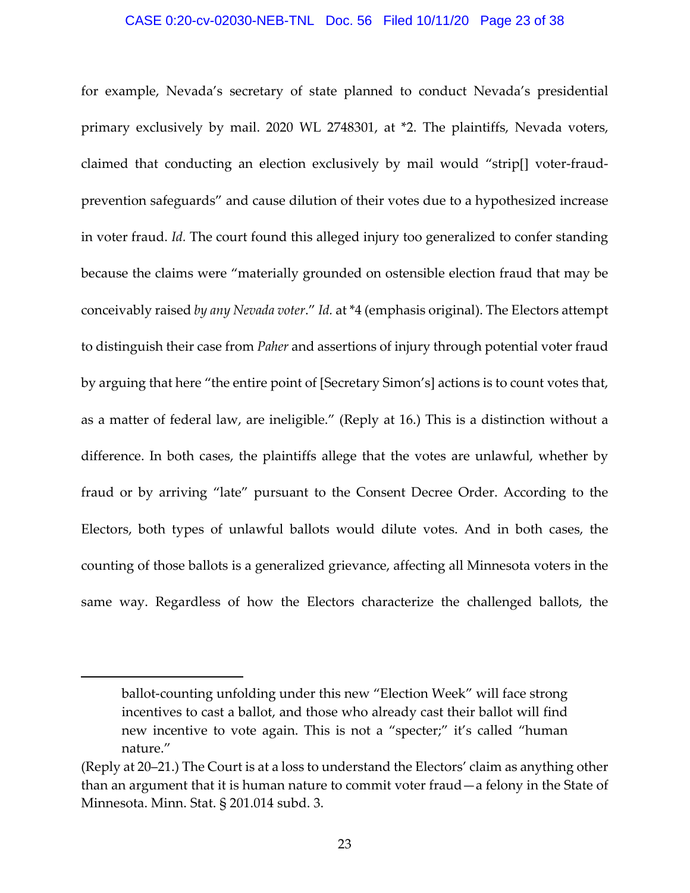#### CASE 0:20-cv-02030-NEB-TNL Doc. 56 Filed 10/11/20 Page 23 of 38

for example, Nevada's secretary of state planned to conduct Nevada's presidential primary exclusively by mail. 2020 WL 2748301, at \*2. The plaintiffs, Nevada voters, claimed that conducting an election exclusively by mail would "strip[] voter‐fraud‐ prevention safeguards" and cause dilution of their votes due to a hypothesized increase in voter fraud. *Id.* The court found this alleged injury too generalized to confer standing because the claims were "materially grounded on ostensible election fraud that may be conceivably raised *by any Nevada voter*." *Id.* at \*4 (emphasis original). The Electors attempt to distinguish their case from *Paher* and assertions of injury through potential voter fraud by arguing that here "the entire point of [Secretary Simon's] actions is to count votes that, as a matter of federal law, are ineligible." (Reply at 16.) This is a distinction without a difference. In both cases, the plaintiffs allege that the votes are unlawful, whether by fraud or by arriving "late" pursuant to the Consent Decree Order. According to the Electors, both types of unlawful ballots would dilute votes. And in both cases, the counting of those ballots is a generalized grievance, affecting all Minnesota voters in the same way. Regardless of how the Electors characterize the challenged ballots, the

ballot-counting unfolding under this new "Election Week" will face strong incentives to cast a ballot, and those who already cast their ballot will find new incentive to vote again. This is not a "specter;" it's called "human nature."

<sup>(</sup>Reply at 20–21.) The Court is at a loss to understand the Electors' claim as anything other than an argument that it is human nature to commit voter fraud—a felony in the State of Minnesota. Minn. Stat. § 201.014 subd. 3.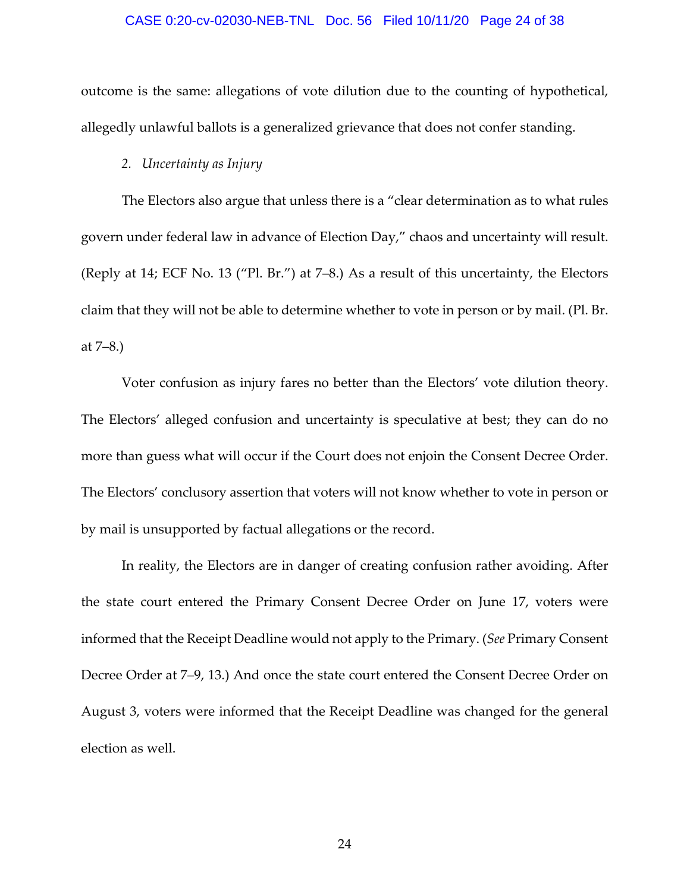#### CASE 0:20-cv-02030-NEB-TNL Doc. 56 Filed 10/11/20 Page 24 of 38

outcome is the same: allegations of vote dilution due to the counting of hypothetical, allegedly unlawful ballots is a generalized grievance that does not confer standing.

#### *2. Uncertainty as Injury*

The Electors also argue that unless there is a "clear determination as to what rules govern under federal law in advance of Election Day," chaos and uncertainty will result. (Reply at 14; ECF No. 13 ("Pl. Br.") at 7–8.) As a result of this uncertainty, the Electors claim that they will not be able to determine whether to vote in person or by mail. (Pl. Br. at 7–8.)

Voter confusion as injury fares no better than the Electors' vote dilution theory. The Electors' alleged confusion and uncertainty is speculative at best; they can do no more than guess what will occur if the Court does not enjoin the Consent Decree Order. The Electors' conclusory assertion that voters will not know whether to vote in person or by mail is unsupported by factual allegations or the record.

In reality, the Electors are in danger of creating confusion rather avoiding. After the state court entered the Primary Consent Decree Order on June 17, voters were informed that the Receipt Deadline would not apply to the Primary. (*See* Primary Consent Decree Order at 7–9, 13.) And once the state court entered the Consent Decree Order on August 3, voters were informed that the Receipt Deadline was changed for the general election as well.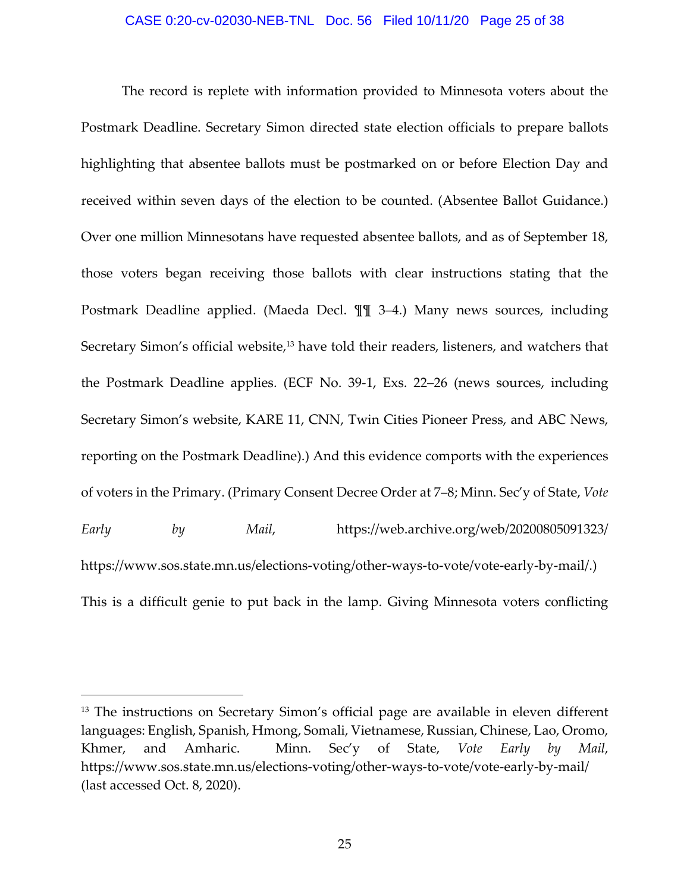The record is replete with information provided to Minnesota voters about the Postmark Deadline. Secretary Simon directed state election officials to prepare ballots highlighting that absentee ballots must be postmarked on or before Election Day and received within seven days of the election to be counted. (Absentee Ballot Guidance.) Over one million Minnesotans have requested absentee ballots, and as of September 18, those voters began receiving those ballots with clear instructions stating that the Postmark Deadline applied. (Maeda Decl. ¶¶ 3–4.) Many news sources, including Secretary Simon's official website,<sup>13</sup> have told their readers, listeners, and watchers that the Postmark Deadline applies. (ECF No. 39‐1, Exs. 22–26 (news sources, including Secretary Simon's website, KARE 11, CNN, Twin Cities Pioneer Press, and ABC News, reporting on the Postmark Deadline).) And this evidence comports with the experiences of voters in the Primary. (Primary Consent Decree Order at 7–8; Minn. Sec'y of State, *Vote Early by Mail*, https://web.archive.org/web/20200805091323/ https://www.sos.state.mn.us/elections-voting/other-ways-to-vote/vote-early-by-mail/.) This is a difficult genie to put back in the lamp. Giving Minnesota voters conflicting

<sup>&</sup>lt;sup>13</sup> The instructions on Secretary Simon's official page are available in eleven different languages: English, Spanish, Hmong, Somali, Vietnamese, Russian, Chinese, Lao, Oromo, Khmer, and Amharic. Minn. Sec'y of State, *Vote Early by Mail*, https://www.sos.state.mn.us/elections-voting/other-ways-to-vote/vote-early-by-mail/ (last accessed Oct. 8, 2020).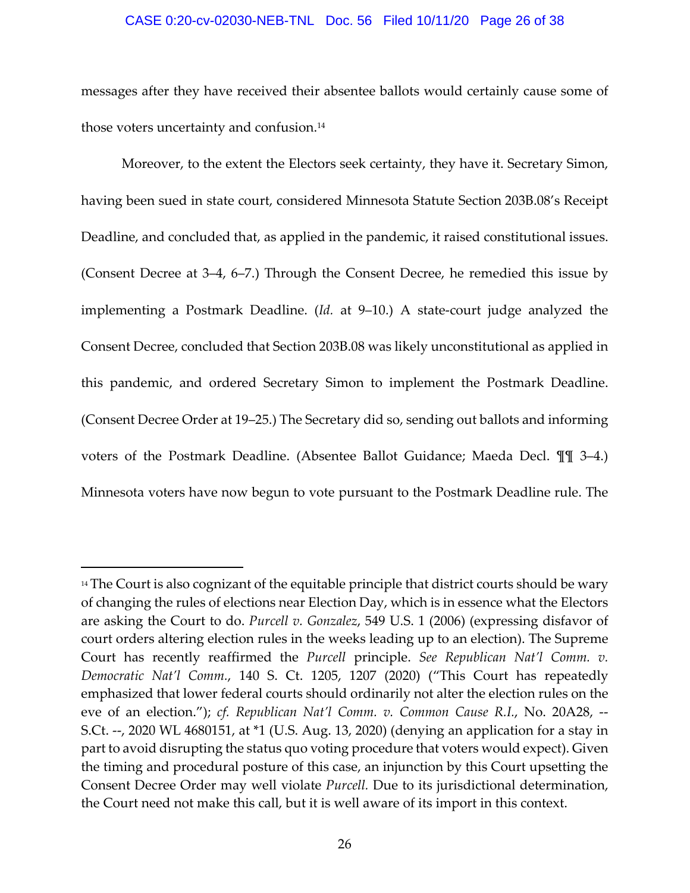#### CASE 0:20-cv-02030-NEB-TNL Doc. 56 Filed 10/11/20 Page 26 of 38

messages after they have received their absentee ballots would certainly cause some of those voters uncertainty and confusion.<sup>14</sup>

Moreover, to the extent the Electors seek certainty, they have it. Secretary Simon, having been sued in state court, considered Minnesota Statute Section 203B.08's Receipt Deadline, and concluded that, as applied in the pandemic, it raised constitutional issues. (Consent Decree at 3–4, 6–7.) Through the Consent Decree, he remedied this issue by implementing a Postmark Deadline. (*Id.* at 9–10.) A state‐court judge analyzed the Consent Decree, concluded that Section 203B.08 was likely unconstitutional as applied in this pandemic, and ordered Secretary Simon to implement the Postmark Deadline. (Consent Decree Order at 19–25.) The Secretary did so, sending out ballots and informing voters of the Postmark Deadline. (Absentee Ballot Guidance; Maeda Decl. ¶¶ 3–4.) Minnesota voters have now begun to vote pursuant to the Postmark Deadline rule. The

<sup>&</sup>lt;sup>14</sup> The Court is also cognizant of the equitable principle that district courts should be wary of changing the rules of elections near Election Day, which is in essence what the Electors are asking the Court to do. *Purcell v. Gonzalez*, 549 U.S. 1 (2006) (expressing disfavor of court orders altering election rules in the weeks leading up to an election). The Supreme Court has recently reaffirmed the *Purcell* principle. *See Republican Nat'l Comm. v. Democratic Nat'l Comm.*, 140 S. Ct. 1205, 1207 (2020) ("This Court has repeatedly emphasized that lower federal courts should ordinarily not alter the election rules on the eve of an election."); *cf. Republican Nat'l Comm. v. Common Cause R.I.*, No. 20A28, ‐‐ S.Ct. ‐‐, 2020 WL 4680151, at \*1 (U.S. Aug. 13, 2020) (denying an application for a stay in part to avoid disrupting the status quo voting procedure that voters would expect). Given the timing and procedural posture of this case, an injunction by this Court upsetting the Consent Decree Order may well violate *Purcell.* Due to its jurisdictional determination, the Court need not make this call, but it is well aware of its import in this context.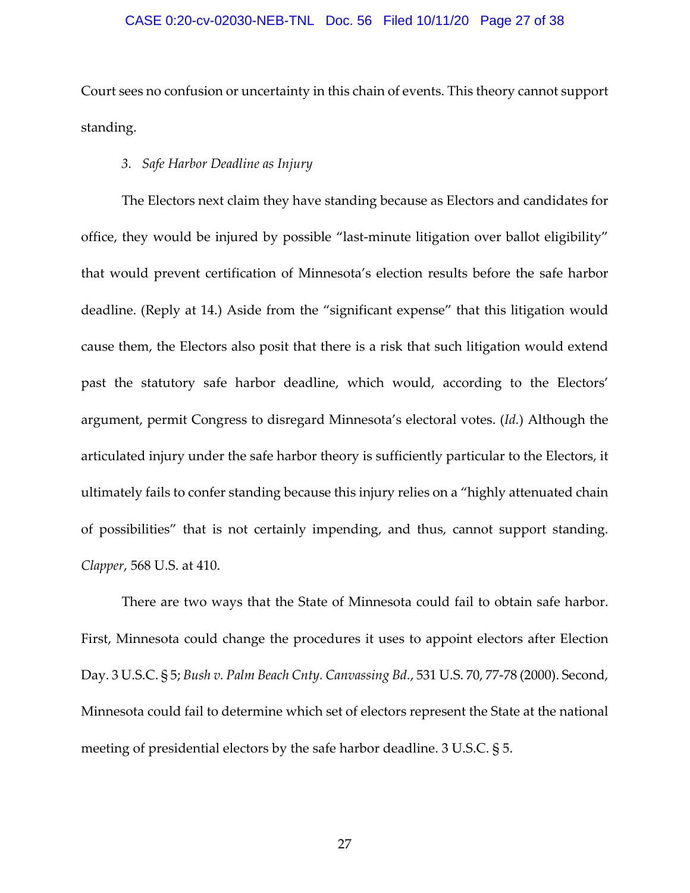#### CASE 0:20-cv-02030-NEB-TNL Doc. 56 Filed 10/11/20 Page 27 of 38

Court sees no confusion or uncertainty in this chain of events. This theory cannot support standing.

#### *3. Safe Harbor Deadline as Injury*

The Electors next claim they have standing because as Electors and candidates for office, they would be injured by possible "last-minute litigation over ballot eligibility" that would prevent certification of Minnesota's election results before the safe harbor deadline. (Reply at 14.) Aside from the "significant expense" that this litigation would cause them, the Electors also posit that there is a risk that such litigation would extend past the statutory safe harbor deadline, which would, according to the Electors' argument, permit Congress to disregard Minnesota's electoral votes. (*Id.*) Although the articulated injury under the safe harbor theory is sufficiently particular to the Electors, it ultimately fails to confer standing because this injury relies on a "highly attenuated chain of possibilities" that is not certainly impending, and thus, cannot support standing. *Clapper*, 568 U.S. at 410.

There are two ways that the State of Minnesota could fail to obtain safe harbor. First, Minnesota could change the procedures it uses to appoint electors after Election Day. 3 U.S.C. § 5; *Bush v. Palm Beach Cnty. Canvassing Bd.*, 531 U.S. 70, 77‐78 (2000). Second, Minnesota could fail to determine which set of electors represent the State at the national meeting of presidential electors by the safe harbor deadline. 3 U.S.C. § 5.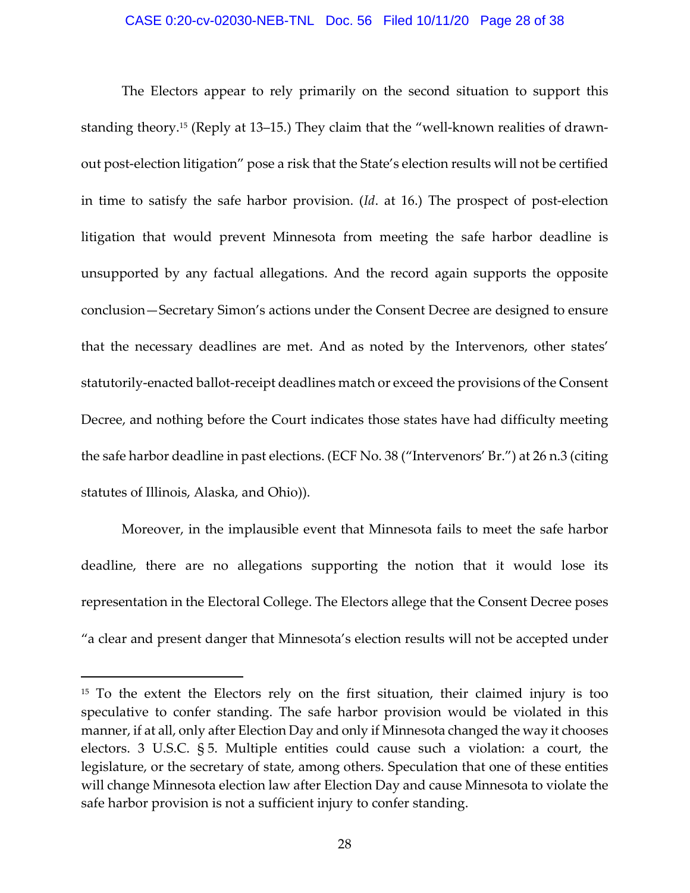The Electors appear to rely primarily on the second situation to support this standing theory.<sup>15</sup> (Reply at 13–15.) They claim that the "well-known realities of drawnout post‐election litigation" pose a risk that the State's election results will not be certified in time to satisfy the safe harbor provision. (*Id*. at 16.) The prospect of post‐election litigation that would prevent Minnesota from meeting the safe harbor deadline is unsupported by any factual allegations. And the record again supports the opposite conclusion—Secretary Simon's actions under the Consent Decree are designed to ensure that the necessary deadlines are met. And as noted by the Intervenors, other states' statutorily‐enacted ballot‐receipt deadlines match or exceed the provisions of the Consent Decree, and nothing before the Court indicates those states have had difficulty meeting the safe harbor deadline in past elections. (ECF No. 38 ("Intervenors' Br.") at 26 n.3 (citing statutes of Illinois, Alaska, and Ohio)).

Moreover, in the implausible event that Minnesota fails to meet the safe harbor deadline, there are no allegations supporting the notion that it would lose its representation in the Electoral College. The Electors allege that the Consent Decree poses "a clear and present danger that Minnesota's election results will not be accepted under

<sup>&</sup>lt;sup>15</sup> To the extent the Electors rely on the first situation, their claimed injury is too speculative to confer standing. The safe harbor provision would be violated in this manner, if at all, only after Election Day and only if Minnesota changed the way it chooses electors. 3 U.S.C. § 5. Multiple entities could cause such a violation: a court, the legislature, or the secretary of state, among others. Speculation that one of these entities will change Minnesota election law after Election Day and cause Minnesota to violate the safe harbor provision is not a sufficient injury to confer standing.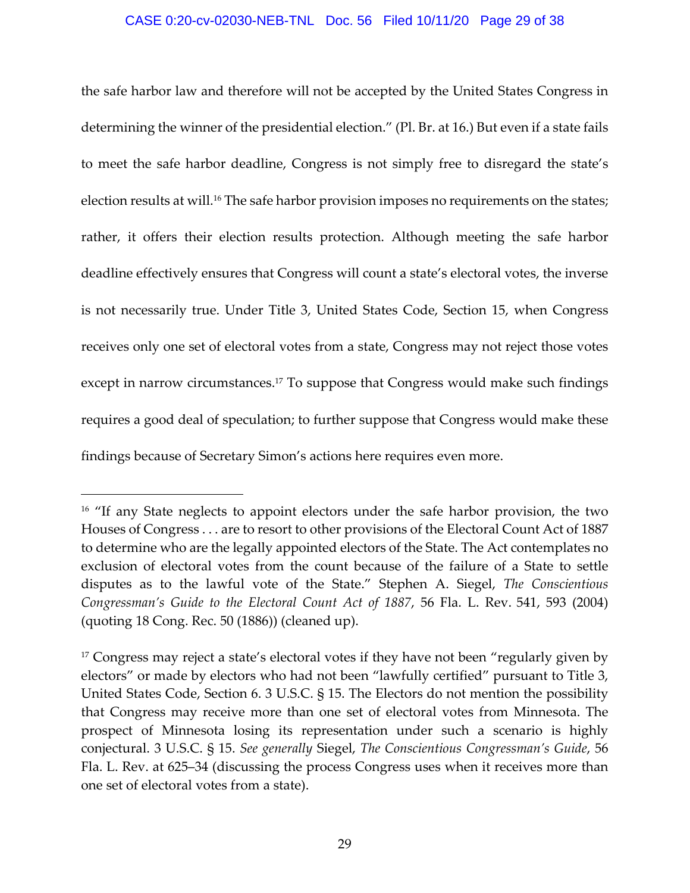#### CASE 0:20-cv-02030-NEB-TNL Doc. 56 Filed 10/11/20 Page 29 of 38

the safe harbor law and therefore will not be accepted by the United States Congress in determining the winner of the presidential election." (Pl. Br. at 16.) But even if a state fails to meet the safe harbor deadline, Congress is not simply free to disregard the state's election results at will.<sup>16</sup> The safe harbor provision imposes no requirements on the states; rather, it offers their election results protection. Although meeting the safe harbor deadline effectively ensures that Congress will count a state's electoral votes, the inverse is not necessarily true. Under Title 3, United States Code, Section 15, when Congress receives only one set of electoral votes from a state, Congress may not reject those votes except in narrow circumstances.<sup>17</sup> To suppose that Congress would make such findings requires a good deal of speculation; to further suppose that Congress would make these findings because of Secretary Simon's actions here requires even more.

<sup>&</sup>lt;sup>16</sup> "If any State neglects to appoint electors under the safe harbor provision, the two Houses of Congress . . . are to resort to other provisions of the Electoral Count Act of 1887 to determine who are the legally appointed electors of the State. The Act contemplates no exclusion of electoral votes from the count because of the failure of a State to settle disputes as to the lawful vote of the State." Stephen A. Siegel, *The Conscientious Congressman's Guide to the Electoral Count Act of 1887*, 56 Fla. L. Rev. 541, 593 (2004) (quoting 18 Cong. Rec. 50 (1886)) (cleaned up).

<sup>&</sup>lt;sup>17</sup> Congress may reject a state's electoral votes if they have not been "regularly given by electors" or made by electors who had not been "lawfully certified" pursuant to Title 3, United States Code, Section 6. 3 U.S.C. § 15. The Electors do not mention the possibility that Congress may receive more than one set of electoral votes from Minnesota. The prospect of Minnesota losing its representation under such a scenario is highly conjectural. 3 U.S.C. § 15. *See generally* Siegel, *The Conscientious Congressman's Guide*, 56 Fla. L. Rev. at 625–34 (discussing the process Congress uses when it receives more than one set of electoral votes from a state).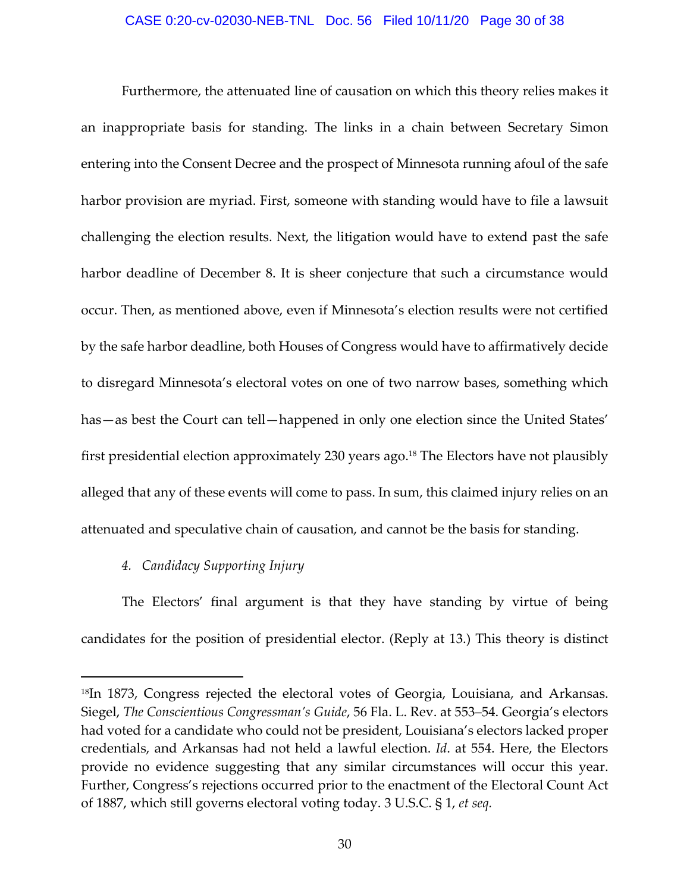#### CASE 0:20-cv-02030-NEB-TNL Doc. 56 Filed 10/11/20 Page 30 of 38

Furthermore, the attenuated line of causation on which this theory relies makes it an inappropriate basis for standing. The links in a chain between Secretary Simon entering into the Consent Decree and the prospect of Minnesota running afoul of the safe harbor provision are myriad. First, someone with standing would have to file a lawsuit challenging the election results. Next, the litigation would have to extend past the safe harbor deadline of December 8. It is sheer conjecture that such a circumstance would occur. Then, as mentioned above, even if Minnesota's election results were not certified by the safe harbor deadline, both Houses of Congress would have to affirmatively decide to disregard Minnesota's electoral votes on one of two narrow bases, something which has—as best the Court can tell—happened in only one election since the United States' first presidential election approximately 230 years ago.<sup>18</sup> The Electors have not plausibly alleged that any of these events will come to pass. In sum, this claimed injury relies on an attenuated and speculative chain of causation, and cannot be the basis for standing.

#### *4. Candidacy Supporting Injury*

The Electors' final argument is that they have standing by virtue of being candidates for the position of presidential elector. (Reply at 13.) This theory is distinct

<sup>18</sup>In 1873, Congress rejected the electoral votes of Georgia, Louisiana, and Arkansas. Siegel, *The Conscientious Congressman's Guide*, 56 Fla. L. Rev. at 553–54. Georgia's electors had voted for a candidate who could not be president, Louisiana's electors lacked proper credentials, and Arkansas had not held a lawful election. *Id*. at 554. Here, the Electors provide no evidence suggesting that any similar circumstances will occur this year. Further, Congress's rejections occurred prior to the enactment of the Electoral Count Act of 1887, which still governs electoral voting today. 3 U.S.C. § 1, *et seq.*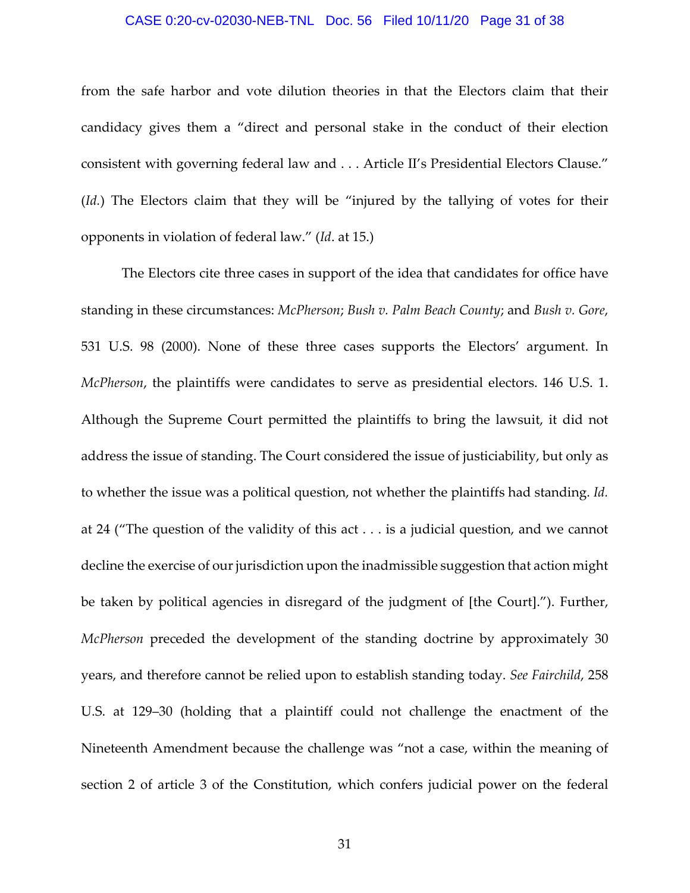#### CASE 0:20-cv-02030-NEB-TNL Doc. 56 Filed 10/11/20 Page 31 of 38

from the safe harbor and vote dilution theories in that the Electors claim that their candidacy gives them a "direct and personal stake in the conduct of their election consistent with governing federal law and . . . Article II's Presidential Electors Clause." (*Id.*) The Electors claim that they will be "injured by the tallying of votes for their opponents in violation of federal law." (*Id*. at 15.)

The Electors cite three cases in support of the idea that candidates for office have standing in these circumstances: *McPherson*; *Bush v. Palm Beach County*; and *Bush v. Gore*, 531 U.S. 98 (2000). None of these three cases supports the Electors' argument. In *McPherson*, the plaintiffs were candidates to serve as presidential electors. 146 U.S. 1. Although the Supreme Court permitted the plaintiffs to bring the lawsuit, it did not address the issue of standing. The Court considered the issue of justiciability, but only as to whether the issue was a political question, not whether the plaintiffs had standing. *Id.* at 24 ("The question of the validity of this act . . . is a judicial question, and we cannot decline the exercise of our jurisdiction upon the inadmissible suggestion that action might be taken by political agencies in disregard of the judgment of [the Court]."). Further, *McPherson* preceded the development of the standing doctrine by approximately 30 years, and therefore cannot be relied upon to establish standing today. *See Fairchild*, 258 U.S. at 129–30 (holding that a plaintiff could not challenge the enactment of the Nineteenth Amendment because the challenge was "not a case, within the meaning of section 2 of article 3 of the Constitution, which confers judicial power on the federal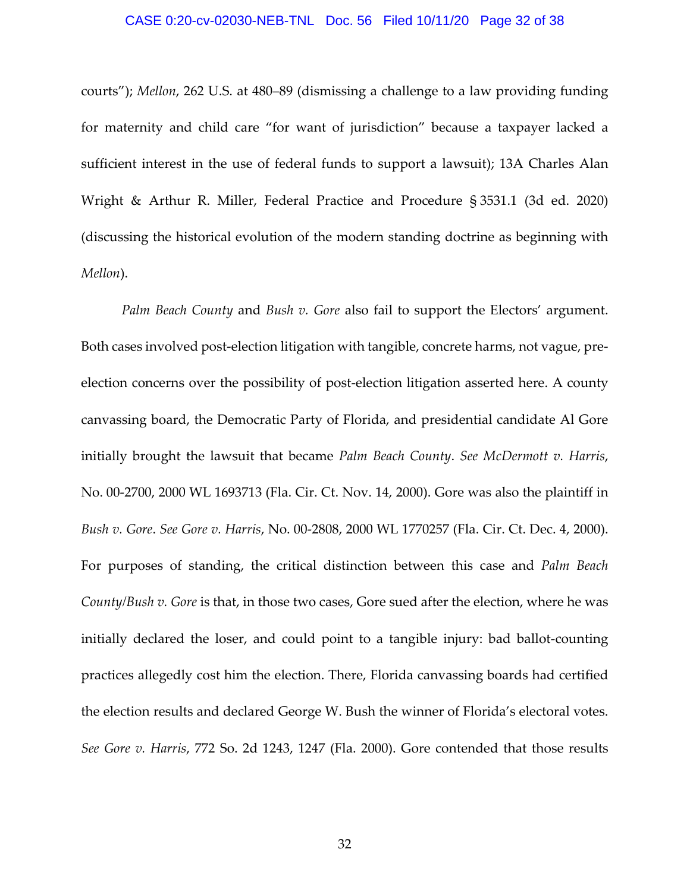#### CASE 0:20-cv-02030-NEB-TNL Doc. 56 Filed 10/11/20 Page 32 of 38

courts"); *Mellon*, 262 U.S. at 480–89 (dismissing a challenge to a law providing funding for maternity and child care "for want of jurisdiction" because a taxpayer lacked a sufficient interest in the use of federal funds to support a lawsuit); 13A Charles Alan Wright & Arthur R. Miller, Federal Practice and Procedure § 3531.1 (3d ed. 2020) (discussing the historical evolution of the modern standing doctrine as beginning with *Mellon*).

*Palm Beach County* and *Bush v. Gore* also fail to support the Electors' argument. Both cases involved post-election litigation with tangible, concrete harms, not vague, preelection concerns over the possibility of post-election litigation asserted here. A county canvassing board, the Democratic Party of Florida, and presidential candidate Al Gore initially brought the lawsuit that became *Palm Beach County*. *See McDermott v. Harris*, No. 00‐2700, 2000 WL 1693713 (Fla. Cir. Ct. Nov. 14, 2000). Gore was also the plaintiff in *Bush v. Gore*. *See Gore v. Harris*, No. 00‐2808, 2000 WL 1770257 (Fla. Cir. Ct. Dec. 4, 2000). For purposes of standing, the critical distinction between this case and *Palm Beach County/Bush v. Gore* is that, in those two cases, Gore sued after the election, where he was initially declared the loser, and could point to a tangible injury: bad ballot‐counting practices allegedly cost him the election. There, Florida canvassing boards had certified the election results and declared George W. Bush the winner of Florida's electoral votes. *See Gore v. Harris*, 772 So. 2d 1243, 1247 (Fla. 2000). Gore contended that those results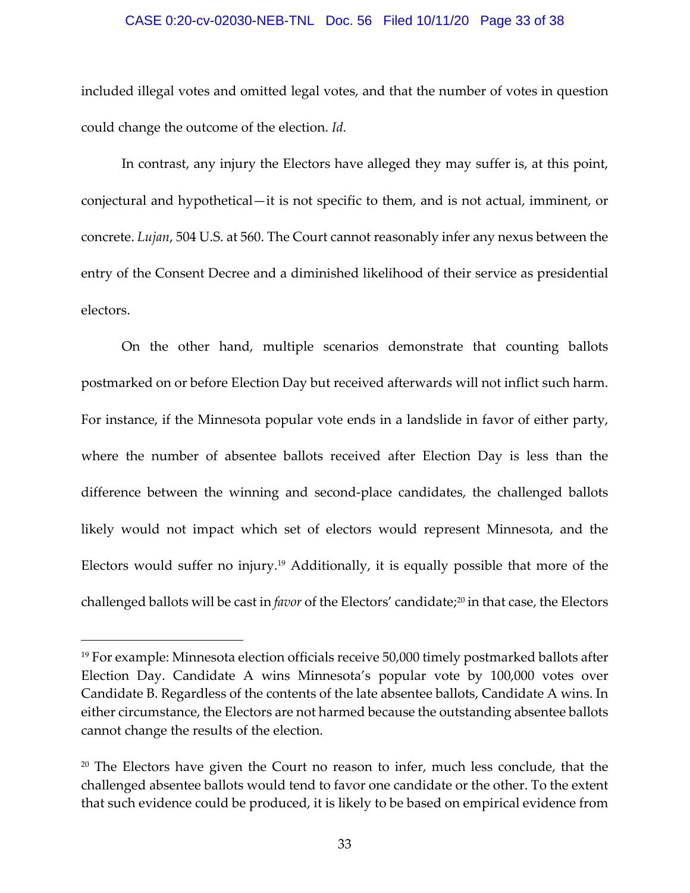#### CASE 0:20-cv-02030-NEB-TNL Doc. 56 Filed 10/11/20 Page 33 of 38

included illegal votes and omitted legal votes, and that the number of votes in question could change the outcome of the election. *Id.*

In contrast, any injury the Electors have alleged they may suffer is, at this point, conjectural and hypothetical—it is not specific to them, and is not actual, imminent, or concrete. *Lujan*, 504 U.S. at 560. The Court cannot reasonably infer any nexus between the entry of the Consent Decree and a diminished likelihood of their service as presidential electors.

On the other hand, multiple scenarios demonstrate that counting ballots postmarked on or before Election Day but received afterwards will not inflict such harm. For instance, if the Minnesota popular vote ends in a landslide in favor of either party, where the number of absentee ballots received after Election Day is less than the difference between the winning and second‐place candidates, the challenged ballots likely would not impact which set of electors would represent Minnesota, and the Electors would suffer no injury.19 Additionally, it is equally possible that more of the challenged ballots will be cast in *favor* of the Electors' candidate;20 in that case, the Electors

<sup>&</sup>lt;sup>19</sup> For example: Minnesota election officials receive 50,000 timely postmarked ballots after Election Day. Candidate A wins Minnesota's popular vote by 100,000 votes over Candidate B. Regardless of the contents of the late absentee ballots, Candidate A wins. In either circumstance, the Electors are not harmed because the outstanding absentee ballots cannot change the results of the election.

<sup>&</sup>lt;sup>20</sup> The Electors have given the Court no reason to infer, much less conclude, that the challenged absentee ballots would tend to favor one candidate or the other. To the extent that such evidence could be produced, it is likely to be based on empirical evidence from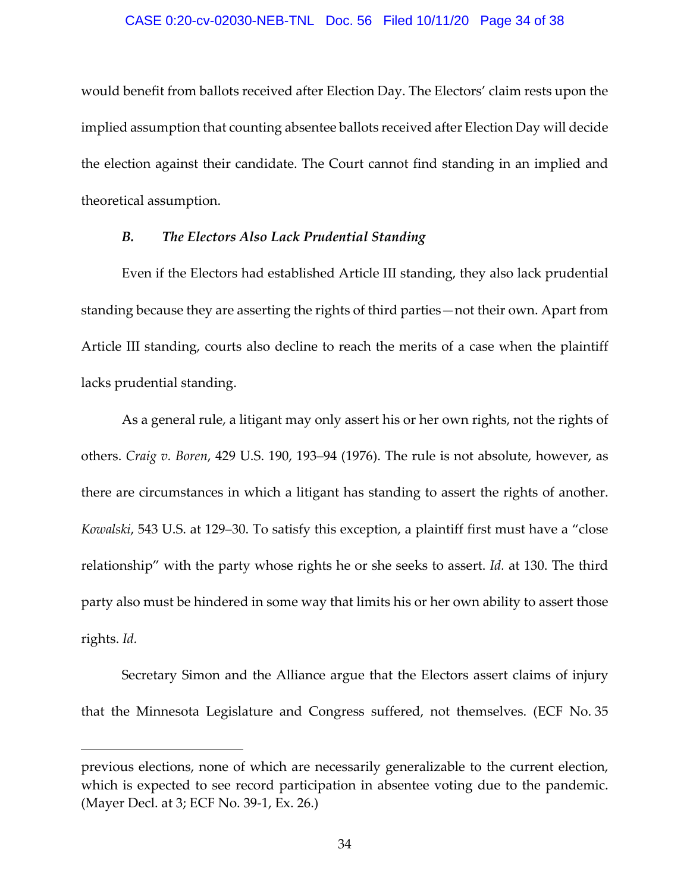#### CASE 0:20-cv-02030-NEB-TNL Doc. 56 Filed 10/11/20 Page 34 of 38

would benefit from ballots received after Election Day. The Electors' claim rests upon the implied assumption that counting absentee ballots received after Election Day will decide the election against their candidate. The Court cannot find standing in an implied and theoretical assumption.

#### *B. The Electors Also Lack Prudential Standing*

Even if the Electors had established Article III standing, they also lack prudential standing because they are asserting the rights of third parties—not their own. Apart from Article III standing, courts also decline to reach the merits of a case when the plaintiff lacks prudential standing.

As a general rule, a litigant may only assert his or her own rights, not the rights of others. *Craig v. Boren*, 429 U.S. 190, 193–94 (1976). The rule is not absolute, however, as there are circumstances in which a litigant has standing to assert the rights of another. *Kowalski*, 543 U.S. at 129–30. To satisfy this exception, a plaintiff first must have a "close relationship" with the party whose rights he or she seeks to assert. *Id.* at 130. The third party also must be hindered in some way that limits his or her own ability to assert those rights. *Id.*

Secretary Simon and the Alliance argue that the Electors assert claims of injury that the Minnesota Legislature and Congress suffered, not themselves. (ECF No. 35

previous elections, none of which are necessarily generalizable to the current election, which is expected to see record participation in absentee voting due to the pandemic. (Mayer Decl. at 3; ECF No. 39‐1, Ex. 26.)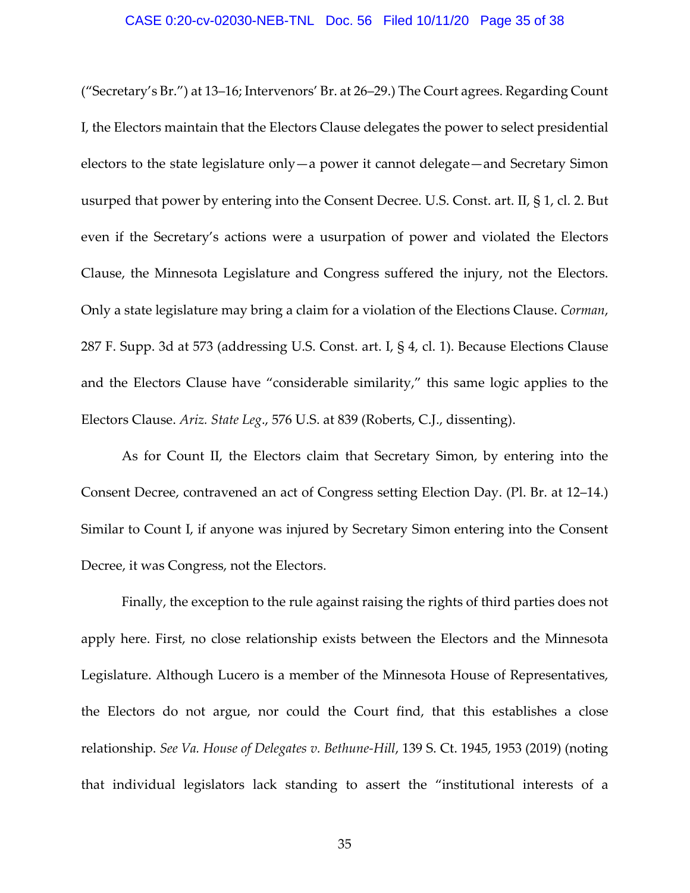("Secretary's Br.") at 13–16; Intervenors' Br. at 26–29.) The Court agrees. Regarding Count I, the Electors maintain that the Electors Clause delegates the power to select presidential electors to the state legislature only—a power it cannot delegate—and Secretary Simon usurped that power by entering into the Consent Decree. U.S. Const. art. II, § 1, cl. 2. But even if the Secretary's actions were a usurpation of power and violated the Electors Clause, the Minnesota Legislature and Congress suffered the injury, not the Electors. Only a state legislature may bring a claim for a violation of the Elections Clause. *Corman*, 287 F. Supp. 3d at 573 (addressing U.S. Const. art. I, § 4, cl. 1). Because Elections Clause and the Electors Clause have "considerable similarity," this same logic applies to the Electors Clause. *Ariz. State Leg*., 576 U.S. at 839 (Roberts, C.J., dissenting).

As for Count II, the Electors claim that Secretary Simon, by entering into the Consent Decree, contravened an act of Congress setting Election Day. (Pl. Br. at 12–14.) Similar to Count I, if anyone was injured by Secretary Simon entering into the Consent Decree, it was Congress, not the Electors.

Finally, the exception to the rule against raising the rights of third parties does not apply here. First, no close relationship exists between the Electors and the Minnesota Legislature. Although Lucero is a member of the Minnesota House of Representatives, the Electors do not argue, nor could the Court find, that this establishes a close relationship. *See Va. House of Delegates v. Bethune‐Hill*, 139 S. Ct. 1945, 1953 (2019) (noting that individual legislators lack standing to assert the "institutional interests of a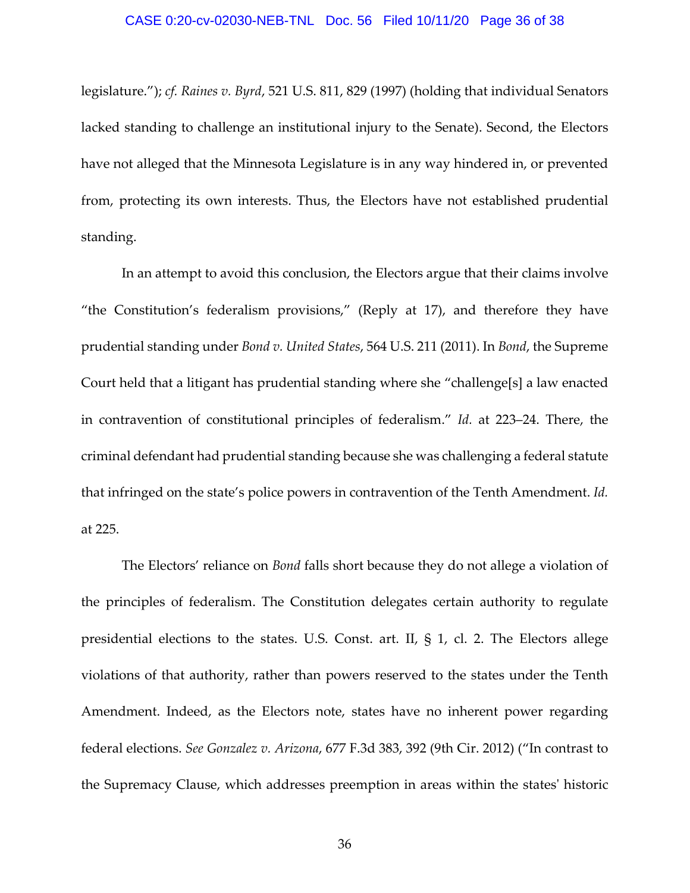#### CASE 0:20-cv-02030-NEB-TNL Doc. 56 Filed 10/11/20 Page 36 of 38

legislature."); *cf. Raines v. Byrd*, 521 U.S. 811, 829 (1997) (holding that individual Senators lacked standing to challenge an institutional injury to the Senate). Second, the Electors have not alleged that the Minnesota Legislature is in any way hindered in, or prevented from, protecting its own interests. Thus, the Electors have not established prudential standing.

In an attempt to avoid this conclusion, the Electors argue that their claims involve "the Constitution's federalism provisions," (Reply at 17), and therefore they have prudential standing under *Bond v. United States*, 564 U.S. 211 (2011). In *Bond*, the Supreme Court held that a litigant has prudential standing where she "challenge[s] a law enacted in contravention of constitutional principles of federalism." *Id.* at 223–24. There, the criminal defendant had prudential standing because she was challenging a federal statute that infringed on the state's police powers in contravention of the Tenth Amendment. *Id.* at 225.

The Electors' reliance on *Bond* falls short because they do not allege a violation of the principles of federalism. The Constitution delegates certain authority to regulate presidential elections to the states. U.S. Const. art. II, § 1, cl. 2. The Electors allege violations of that authority, rather than powers reserved to the states under the Tenth Amendment. Indeed, as the Electors note, states have no inherent power regarding federal elections. *See Gonzalez v. Arizona*, 677 F.3d 383, 392 (9th Cir. 2012) ("In contrast to the Supremacy Clause, which addresses preemption in areas within the statesʹ historic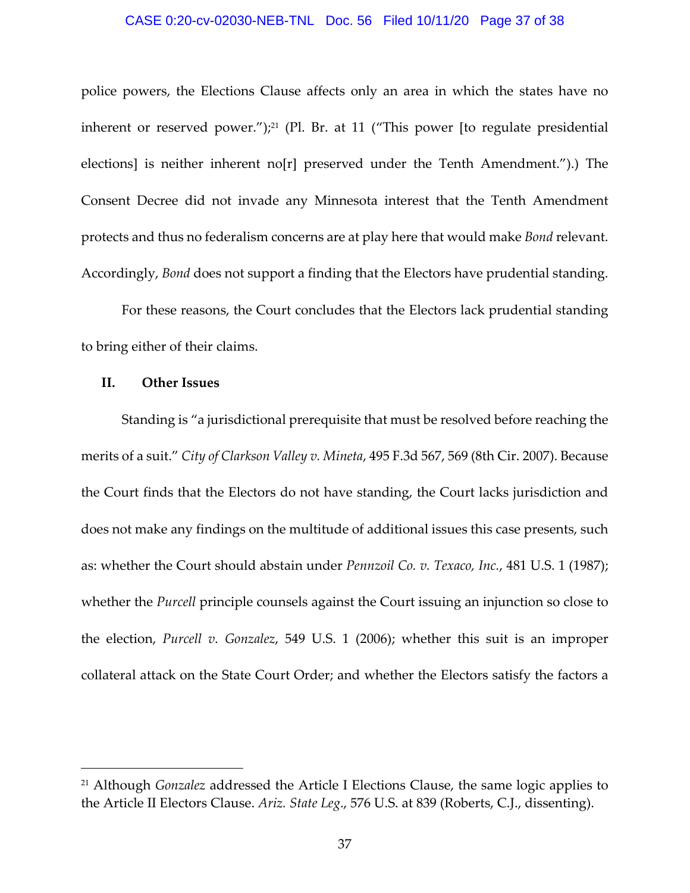#### CASE 0:20-cv-02030-NEB-TNL Doc. 56 Filed 10/11/20 Page 37 of 38

police powers, the Elections Clause affects only an area in which the states have no inherent or reserved power.");<sup>21</sup> (Pl. Br. at 11 ("This power [to regulate presidential elections] is neither inherent no[r] preserved under the Tenth Amendment.").) The Consent Decree did not invade any Minnesota interest that the Tenth Amendment protects and thus no federalism concerns are at play here that would make *Bond* relevant. Accordingly, *Bond* does not support a finding that the Electors have prudential standing.

For these reasons, the Court concludes that the Electors lack prudential standing to bring either of their claims.

#### **II. Other Issues**

Standing is "a jurisdictional prerequisite that must be resolved before reaching the merits of a suit." *City of Clarkson Valley v. Mineta*, 495 F.3d 567, 569 (8th Cir. 2007). Because the Court finds that the Electors do not have standing, the Court lacks jurisdiction and does not make any findings on the multitude of additional issues this case presents, such as: whether the Court should abstain under *Pennzoil Co. v. Texaco, Inc.*, 481 U.S. 1 (1987); whether the *Purcell* principle counsels against the Court issuing an injunction so close to the election, *Purcell v. Gonzalez*, 549 U.S. 1 (2006); whether this suit is an improper collateral attack on the State Court Order; and whether the Electors satisfy the factors a

<sup>21</sup> Although *Gonzalez* addressed the Article I Elections Clause, the same logic applies to the Article II Electors Clause. *Ariz. State Leg*., 576 U.S. at 839 (Roberts, C.J., dissenting).